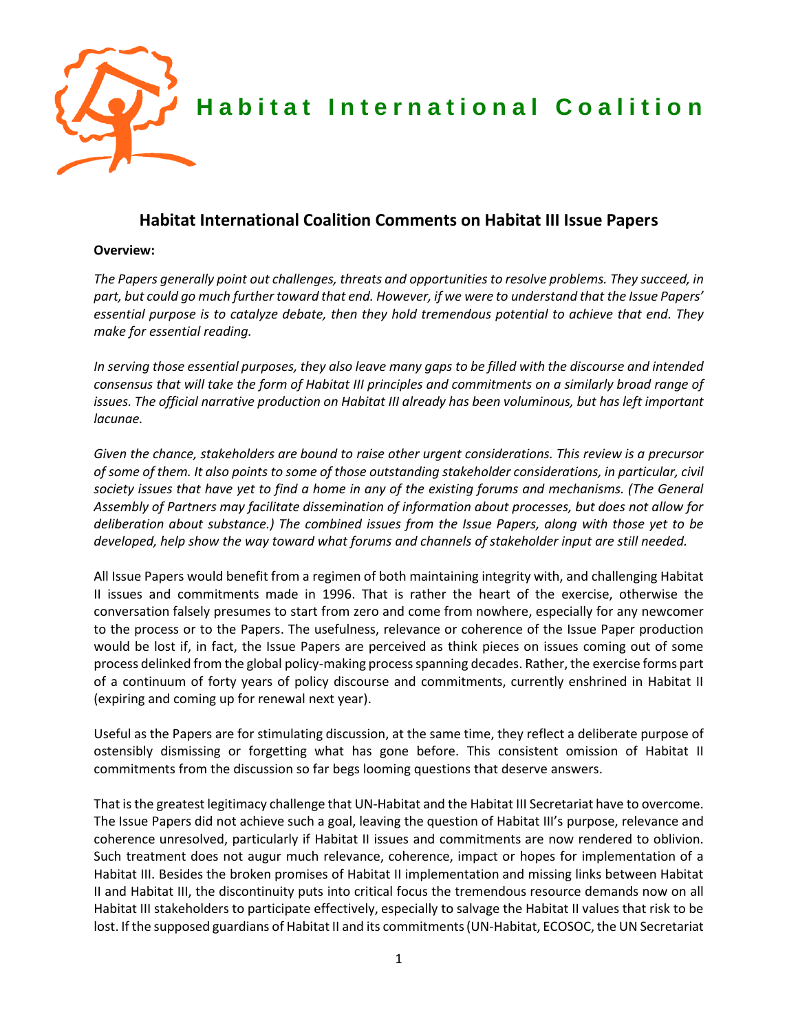

# **Habitat International Coalition Comments on Habitat III Issue Papers**

#### **Overview:**

*The Papers generally point out challenges, threats and opportunities to resolve problems. They succeed, in part, but could go much further toward that end. However, if we were to understand that the Issue Papers' essential purpose is to catalyze debate, then they hold tremendous potential to achieve that end. They make for essential reading.*

*In serving those essential purposes, they also leave many gaps to be filled with the discourse and intended consensus that will take the form of Habitat III principles and commitments on a similarly broad range of*  issues. The official narrative production on Habitat III already has been voluminous, but has left important *lacunae.* 

*Given the chance, stakeholders are bound to raise other urgent considerations. This review is a precursor of some of them. It also points to some of those outstanding stakeholder considerations, in particular, civil society issues that have yet to find a home in any of the existing forums and mechanisms. (The General Assembly of Partners may facilitate dissemination of information about processes, but does not allow for deliberation about substance.) The combined issues from the Issue Papers, along with those yet to be developed, help show the way toward what forums and channels of stakeholder input are still needed.*

All Issue Papers would benefit from a regimen of both maintaining integrity with, and challenging Habitat II issues and commitments made in 1996. That is rather the heart of the exercise, otherwise the conversation falsely presumes to start from zero and come from nowhere, especially for any newcomer to the process or to the Papers. The usefulness, relevance or coherence of the Issue Paper production would be lost if, in fact, the Issue Papers are perceived as think pieces on issues coming out of some process delinked from the global policy-making processspanning decades. Rather, the exercise forms part of a continuum of forty years of policy discourse and commitments, currently enshrined in Habitat II (expiring and coming up for renewal next year).

Useful as the Papers are for stimulating discussion, at the same time, they reflect a deliberate purpose of ostensibly dismissing or forgetting what has gone before. This consistent omission of Habitat II commitments from the discussion so far begs looming questions that deserve answers.

That is the greatest legitimacy challenge that UN-Habitat and the Habitat III Secretariat have to overcome. The Issue Papers did not achieve such a goal, leaving the question of Habitat III's purpose, relevance and coherence unresolved, particularly if Habitat II issues and commitments are now rendered to oblivion. Such treatment does not augur much relevance, coherence, impact or hopes for implementation of a Habitat III. Besides the broken promises of Habitat II implementation and missing links between Habitat II and Habitat III, the discontinuity puts into critical focus the tremendous resource demands now on all Habitat III stakeholders to participate effectively, especially to salvage the Habitat II values that risk to be lost. If the supposed guardians of Habitat II and its commitments (UN-Habitat, ECOSOC, the UN Secretariat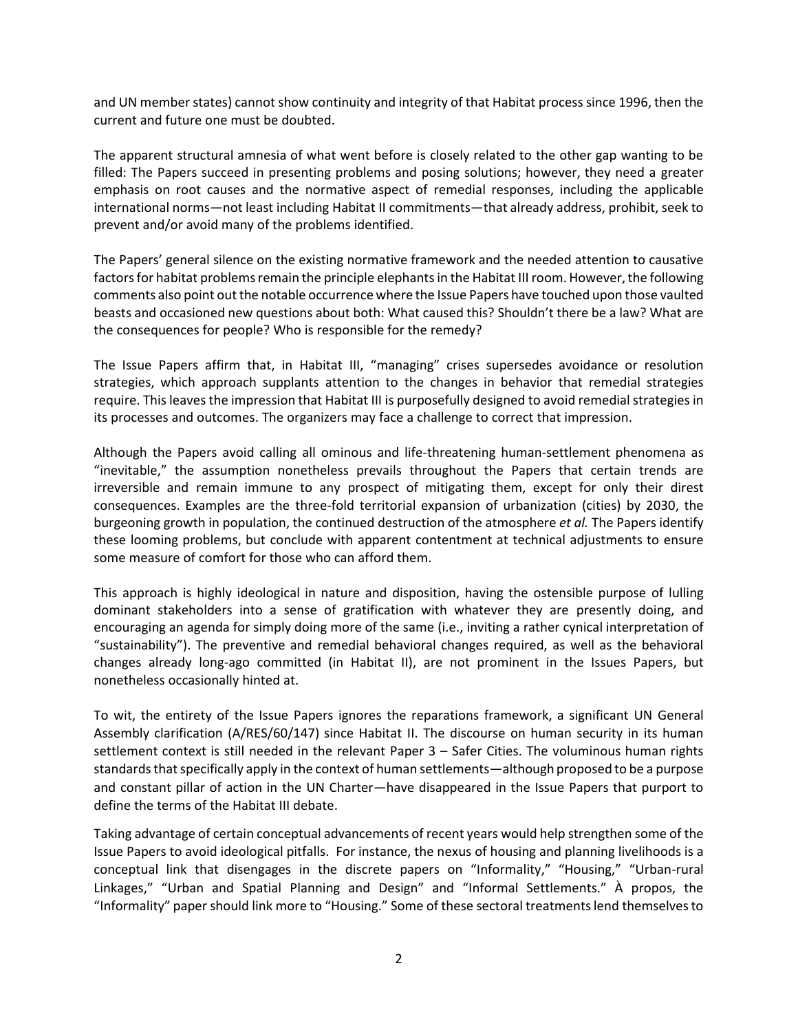and UN member states) cannot show continuity and integrity of that Habitat process since 1996, then the current and future one must be doubted.

The apparent structural amnesia of what went before is closely related to the other gap wanting to be filled: The Papers succeed in presenting problems and posing solutions; however, they need a greater emphasis on root causes and the normative aspect of remedial responses, including the applicable international norms—not least including Habitat II commitments—that already address, prohibit, seek to prevent and/or avoid many of the problems identified.

The Papers' general silence on the existing normative framework and the needed attention to causative factors for habitat problems remain the principle elephantsin the Habitat III room. However, the following comments also point out the notable occurrence where the Issue Papers have touched upon those vaulted beasts and occasioned new questions about both: What caused this? Shouldn't there be a law? What are the consequences for people? Who is responsible for the remedy?

The Issue Papers affirm that, in Habitat III, "managing" crises supersedes avoidance or resolution strategies, which approach supplants attention to the changes in behavior that remedial strategies require. This leaves the impression that Habitat III is purposefully designed to avoid remedial strategies in its processes and outcomes. The organizers may face a challenge to correct that impression.

Although the Papers avoid calling all ominous and life-threatening human-settlement phenomena as "inevitable," the assumption nonetheless prevails throughout the Papers that certain trends are irreversible and remain immune to any prospect of mitigating them, except for only their direst consequences. Examples are the three-fold territorial expansion of urbanization (cities) by 2030, the burgeoning growth in population, the continued destruction of the atmosphere *et al.* The Papers identify these looming problems, but conclude with apparent contentment at technical adjustments to ensure some measure of comfort for those who can afford them.

This approach is highly ideological in nature and disposition, having the ostensible purpose of lulling dominant stakeholders into a sense of gratification with whatever they are presently doing, and encouraging an agenda for simply doing more of the same (i.e., inviting a rather cynical interpretation of "sustainability"). The preventive and remedial behavioral changes required, as well as the behavioral changes already long-ago committed (in Habitat II), are not prominent in the Issues Papers, but nonetheless occasionally hinted at.

To wit, the entirety of the Issue Papers ignores the reparations framework, a significant UN General Assembly clarification (A/RES/60/147) since Habitat II. The discourse on human security in its human settlement context is still needed in the relevant Paper 3 – Safer Cities. The voluminous human rights standards that specifically apply in the context of human settlements—although proposed to be a purpose and constant pillar of action in the UN Charter—have disappeared in the Issue Papers that purport to define the terms of the Habitat III debate.

Taking advantage of certain conceptual advancements of recent years would help strengthen some of the Issue Papers to avoid ideological pitfalls. For instance, the nexus of housing and planning livelihoods is a conceptual link that disengages in the discrete papers on "Informality," "Housing," "Urban-rural Linkages," "Urban and Spatial Planning and Design" and "Informal Settlements." À propos, the "Informality" paper should link more to "Housing." Some of these sectoral treatments lend themselves to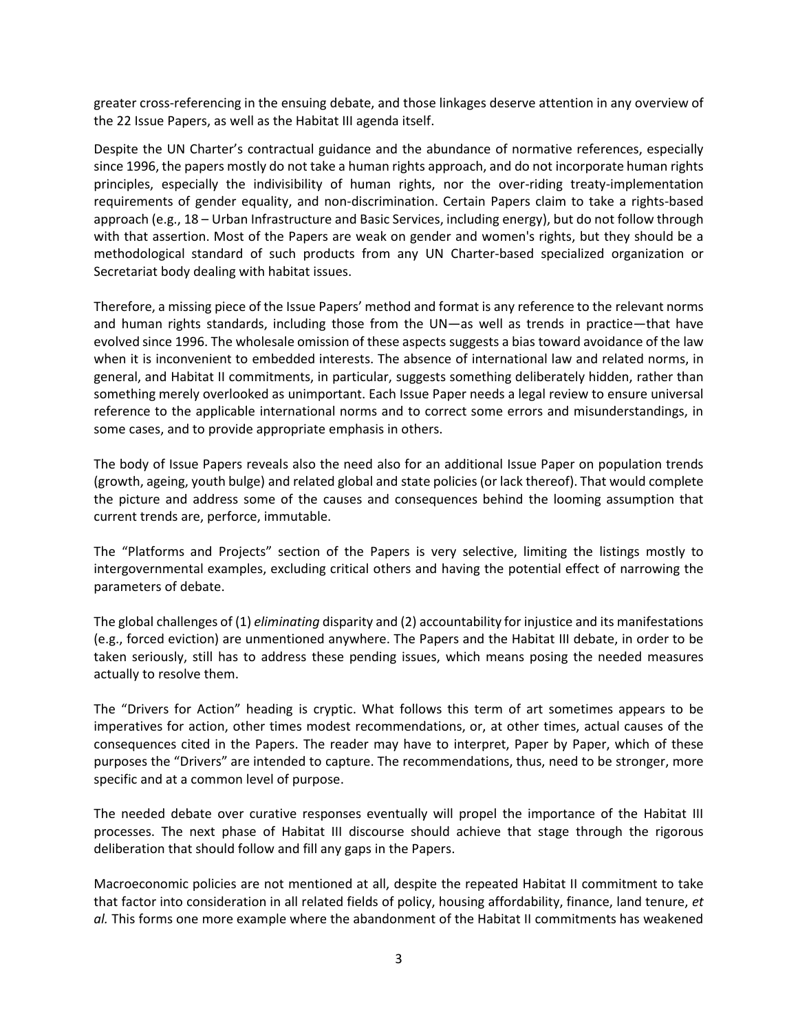greater cross-referencing in the ensuing debate, and those linkages deserve attention in any overview of the 22 Issue Papers, as well as the Habitat III agenda itself.

Despite the UN Charter's contractual guidance and the abundance of normative references, especially since 1996, the papers mostly do not take a human rights approach, and do not incorporate human rights principles, especially the indivisibility of human rights, nor the over-riding treaty-implementation requirements of gender equality, and non-discrimination. Certain Papers claim to take a rights-based approach (e.g., 18 – Urban Infrastructure and Basic Services, including energy), but do not follow through with that assertion. Most of the Papers are weak on gender and women's rights, but they should be a methodological standard of such products from any UN Charter-based specialized organization or Secretariat body dealing with habitat issues.

Therefore, a missing piece of the Issue Papers' method and format is any reference to the relevant norms and human rights standards, including those from the UN—as well as trends in practice—that have evolved since 1996. The wholesale omission of these aspects suggests a bias toward avoidance of the law when it is inconvenient to embedded interests. The absence of international law and related norms, in general, and Habitat II commitments, in particular, suggests something deliberately hidden, rather than something merely overlooked as unimportant. Each Issue Paper needs a legal review to ensure universal reference to the applicable international norms and to correct some errors and misunderstandings, in some cases, and to provide appropriate emphasis in others.

The body of Issue Papers reveals also the need also for an additional Issue Paper on population trends (growth, ageing, youth bulge) and related global and state policies (or lack thereof). That would complete the picture and address some of the causes and consequences behind the looming assumption that current trends are, perforce, immutable.

The "Platforms and Projects" section of the Papers is very selective, limiting the listings mostly to intergovernmental examples, excluding critical others and having the potential effect of narrowing the parameters of debate.

The global challenges of (1) *eliminating* disparity and (2) accountability for injustice and its manifestations (e.g., forced eviction) are unmentioned anywhere. The Papers and the Habitat III debate, in order to be taken seriously, still has to address these pending issues, which means posing the needed measures actually to resolve them.

The "Drivers for Action" heading is cryptic. What follows this term of art sometimes appears to be imperatives for action, other times modest recommendations, or, at other times, actual causes of the consequences cited in the Papers. The reader may have to interpret, Paper by Paper, which of these purposes the "Drivers" are intended to capture. The recommendations, thus, need to be stronger, more specific and at a common level of purpose.

The needed debate over curative responses eventually will propel the importance of the Habitat III processes. The next phase of Habitat III discourse should achieve that stage through the rigorous deliberation that should follow and fill any gaps in the Papers.

Macroeconomic policies are not mentioned at all, despite the repeated Habitat II commitment to take that factor into consideration in all related fields of policy, housing affordability, finance, land tenure, *et al.* This forms one more example where the abandonment of the Habitat II commitments has weakened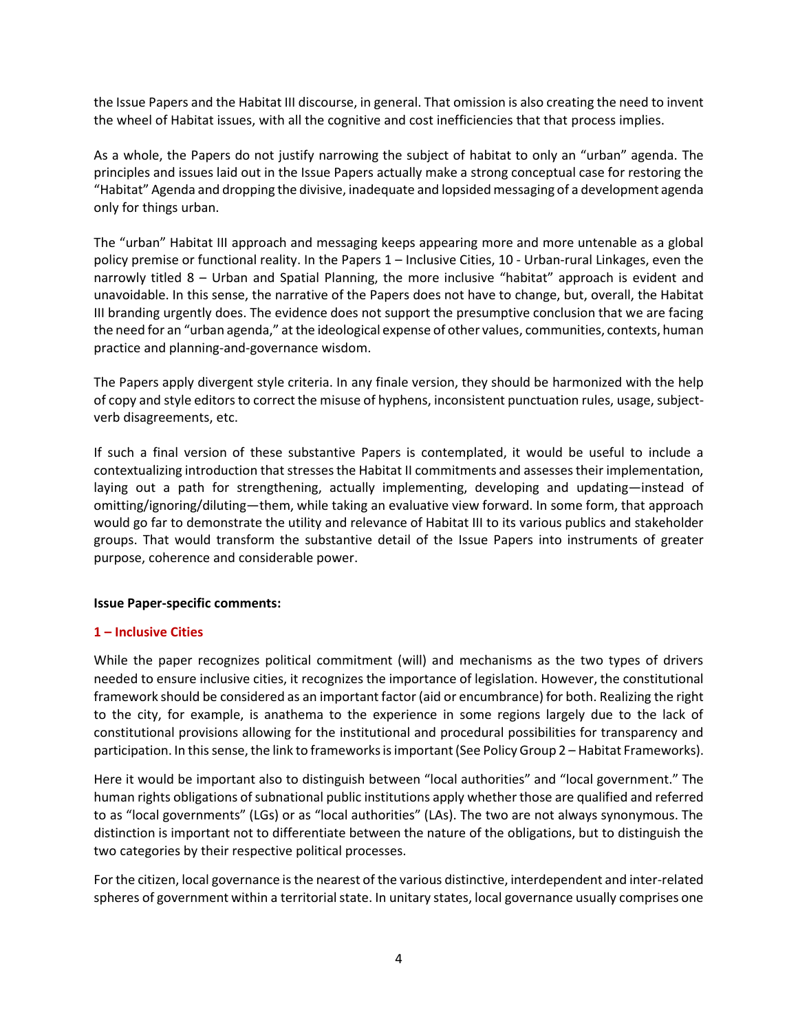the Issue Papers and the Habitat III discourse, in general. That omission is also creating the need to invent the wheel of Habitat issues, with all the cognitive and cost inefficiencies that that process implies.

As a whole, the Papers do not justify narrowing the subject of habitat to only an "urban" agenda. The principles and issues laid out in the Issue Papers actually make a strong conceptual case for restoring the "Habitat" Agenda and dropping the divisive, inadequate and lopsided messaging of a development agenda only for things urban.

The "urban" Habitat III approach and messaging keeps appearing more and more untenable as a global policy premise or functional reality. In the Papers 1 – Inclusive Cities, 10 - Urban-rural Linkages, even the narrowly titled 8 – Urban and Spatial Planning, the more inclusive "habitat" approach is evident and unavoidable. In this sense, the narrative of the Papers does not have to change, but, overall, the Habitat III branding urgently does. The evidence does not support the presumptive conclusion that we are facing the need for an "urban agenda," at the ideological expense of other values, communities, contexts, human practice and planning-and-governance wisdom.

The Papers apply divergent style criteria. In any finale version, they should be harmonized with the help of copy and style editors to correct the misuse of hyphens, inconsistent punctuation rules, usage, subjectverb disagreements, etc.

If such a final version of these substantive Papers is contemplated, it would be useful to include a contextualizing introduction that stresses the Habitat II commitments and assesses their implementation, laying out a path for strengthening, actually implementing, developing and updating—instead of omitting/ignoring/diluting—them, while taking an evaluative view forward. In some form, that approach would go far to demonstrate the utility and relevance of Habitat III to its various publics and stakeholder groups. That would transform the substantive detail of the Issue Papers into instruments of greater purpose, coherence and considerable power.

#### **Issue Paper-specific comments:**

#### **1 – Inclusive Cities**

While the paper recognizes political commitment (will) and mechanisms as the two types of drivers needed to ensure inclusive cities, it recognizes the importance of legislation. However, the constitutional framework should be considered as an important factor (aid or encumbrance) for both. Realizing the right to the city, for example, is anathema to the experience in some regions largely due to the lack of constitutional provisions allowing for the institutional and procedural possibilities for transparency and participation. In this sense, the link to frameworks is important (See Policy Group 2 – Habitat Frameworks).

Here it would be important also to distinguish between "local authorities" and "local government." The human rights obligations of subnational public institutions apply whether those are qualified and referred to as "local governments" (LGs) or as "local authorities" (LAs). The two are not always synonymous. The distinction is important not to differentiate between the nature of the obligations, but to distinguish the two categories by their respective political processes.

For the citizen, local governance is the nearest of the various distinctive, interdependent and inter-related spheres of government within a territorial state. In unitary states, local governance usually comprises one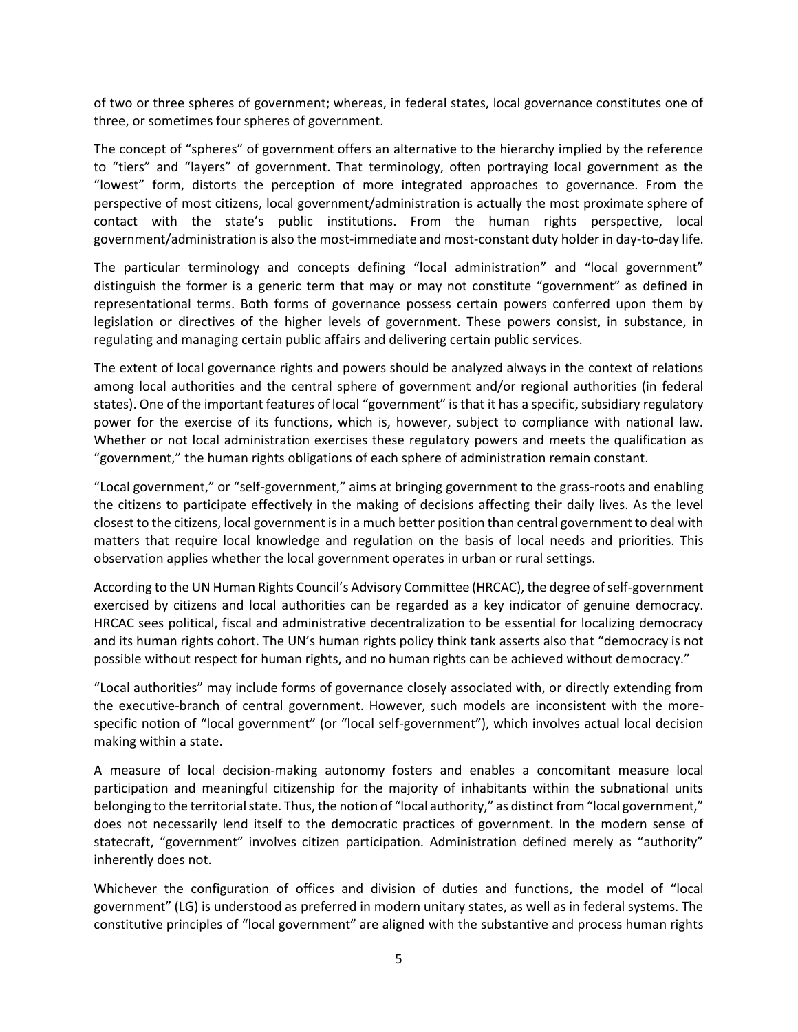of two or three spheres of government; whereas, in federal states, local governance constitutes one of three, or sometimes four spheres of government.

The concept of "spheres" of government offers an alternative to the hierarchy implied by the reference to "tiers" and "layers" of government. That terminology, often portraying local government as the "lowest" form, distorts the perception of more integrated approaches to governance. From the perspective of most citizens, local government/administration is actually the most proximate sphere of contact with the state's public institutions. From the human rights perspective, local government/administration is also the most-immediate and most-constant duty holder in day-to-day life.

The particular terminology and concepts defining "local administration" and "local government" distinguish the former is a generic term that may or may not constitute "government" as defined in representational terms. Both forms of governance possess certain powers conferred upon them by legislation or directives of the higher levels of government. These powers consist, in substance, in regulating and managing certain public affairs and delivering certain public services.

The extent of local governance rights and powers should be analyzed always in the context of relations among local authorities and the central sphere of government and/or regional authorities (in federal states). One of the important features of local "government" is that it has a specific, subsidiary regulatory power for the exercise of its functions, which is, however, subject to compliance with national law. Whether or not local administration exercises these regulatory powers and meets the qualification as "government," the human rights obligations of each sphere of administration remain constant.

"Local government," or "self-government," aims at bringing government to the grass-roots and enabling the citizens to participate effectively in the making of decisions affecting their daily lives. As the level closest to the citizens, local government is in a much better position than central government to deal with matters that require local knowledge and regulation on the basis of local needs and priorities. This observation applies whether the local government operates in urban or rural settings.

According to the UN Human Rights Council's Advisory Committee (HRCAC), the degree of self-government exercised by citizens and local authorities can be regarded as a key indicator of genuine democracy. HRCAC sees political, fiscal and administrative decentralization to be essential for localizing democracy and its human rights cohort. The UN's human rights policy think tank asserts also that "democracy is not possible without respect for human rights, and no human rights can be achieved without democracy."

"Local authorities" may include forms of governance closely associated with, or directly extending from the executive-branch of central government. However, such models are inconsistent with the morespecific notion of "local government" (or "local self-government"), which involves actual local decision making within a state.

A measure of local decision-making autonomy fosters and enables a concomitant measure local participation and meaningful citizenship for the majority of inhabitants within the subnational units belonging to the territorial state. Thus, the notion of "local authority," as distinct from "local government," does not necessarily lend itself to the democratic practices of government. In the modern sense of statecraft, "government" involves citizen participation. Administration defined merely as "authority" inherently does not.

Whichever the configuration of offices and division of duties and functions, the model of "local government" (LG) is understood as preferred in modern unitary states, as well as in federal systems. The constitutive principles of "local government" are aligned with the substantive and process human rights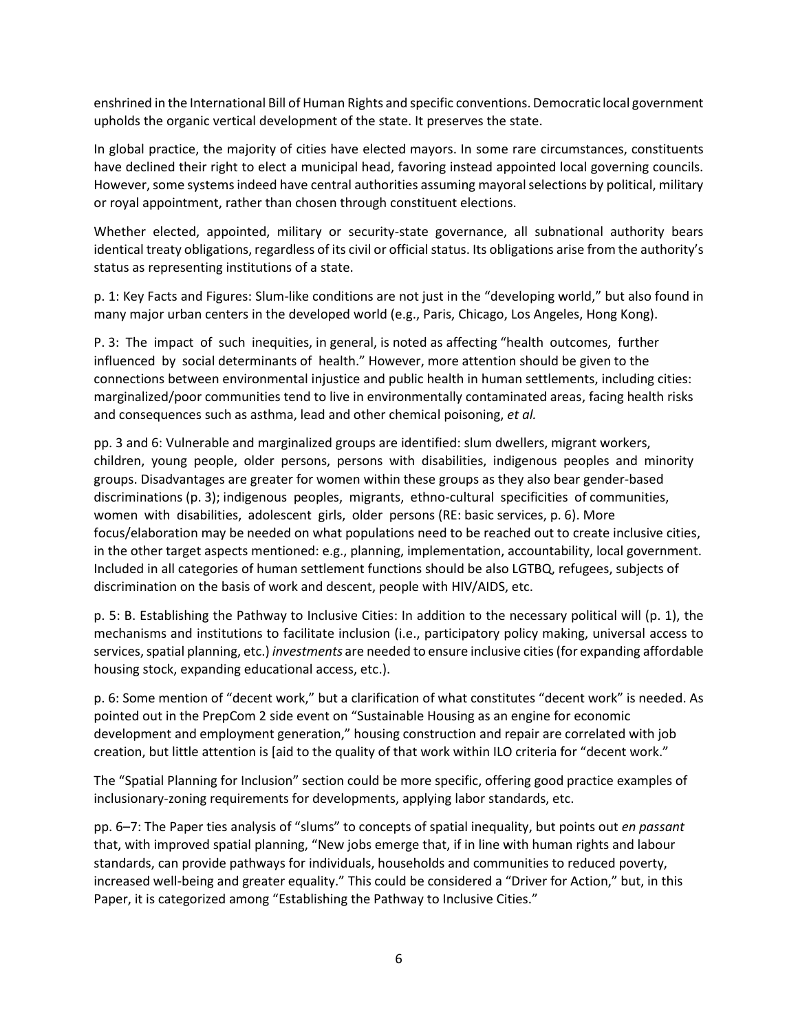enshrined in the International Bill of Human Rights and specific conventions. Democratic local government upholds the organic vertical development of the state. It preserves the state.

In global practice, the majority of cities have elected mayors. In some rare circumstances, constituents have declined their right to elect a municipal head, favoring instead appointed local governing councils. However, some systems indeed have central authorities assuming mayoral selections by political, military or royal appointment, rather than chosen through constituent elections.

Whether elected, appointed, military or security-state governance, all subnational authority bears identical treaty obligations, regardless of its civil or official status. Its obligations arise from the authority's status as representing institutions of a state.

p. 1: Key Facts and Figures: Slum-like conditions are not just in the "developing world," but also found in many major urban centers in the developed world (e.g., Paris, Chicago, Los Angeles, Hong Kong).

P. 3: The impact of such inequities, in general, is noted as affecting "health outcomes, further influenced by social determinants of health." However, more attention should be given to the connections between environmental injustice and public health in human settlements, including cities: marginalized/poor communities tend to live in environmentally contaminated areas, facing health risks and consequences such as asthma, lead and other chemical poisoning, *et al.*

pp. 3 and 6: Vulnerable and marginalized groups are identified: slum dwellers, migrant workers, children, young people, older persons, persons with disabilities, indigenous peoples and minority groups. Disadvantages are greater for women within these groups as they also bear gender-based discriminations (p. 3); indigenous peoples, migrants, ethno-cultural specificities of communities, women with disabilities, adolescent girls, older persons (RE: basic services, p. 6). More focus/elaboration may be needed on what populations need to be reached out to create inclusive cities, in the other target aspects mentioned: e.g., planning, implementation, accountability, local government. Included in all categories of human settlement functions should be also LGTBQ, refugees, subjects of discrimination on the basis of work and descent, people with HIV/AIDS, etc.

p. 5: B. Establishing the Pathway to Inclusive Cities: In addition to the necessary political will (p. 1), the mechanisms and institutions to facilitate inclusion (i.e., participatory policy making, universal access to services, spatial planning, etc.) *investments* are needed to ensure inclusive cities (for expanding affordable housing stock, expanding educational access, etc.).

p. 6: Some mention of "decent work," but a clarification of what constitutes "decent work" is needed. As pointed out in the PrepCom 2 side event on "Sustainable Housing as an engine for economic development and employment generation," housing construction and repair are correlated with job creation, but little attention is [aid to the quality of that work within ILO criteria for "decent work."

The "Spatial Planning for Inclusion" section could be more specific, offering good practice examples of inclusionary-zoning requirements for developments, applying labor standards, etc.

pp. 6–7: The Paper ties analysis of "slums" to concepts of spatial inequality, but points out *en passant* that, with improved spatial planning, "New jobs emerge that, if in line with human rights and labour standards, can provide pathways for individuals, households and communities to reduced poverty, increased well-being and greater equality." This could be considered a "Driver for Action," but, in this Paper, it is categorized among "Establishing the Pathway to Inclusive Cities."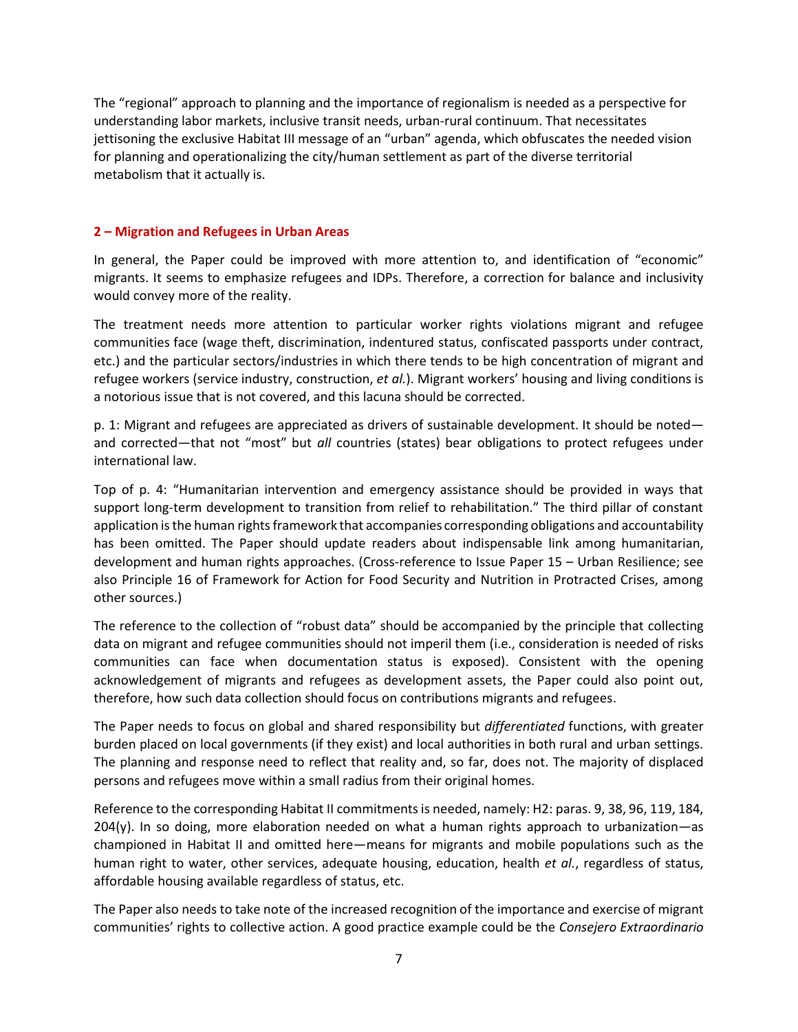The "regional" approach to planning and the importance of regionalism is needed as a perspective for understanding labor markets, inclusive transit needs, urban-rural continuum. That necessitates jettisoning the exclusive Habitat III message of an "urban" agenda, which obfuscates the needed vision for planning and operationalizing the city/human settlement as part of the diverse territorial metabolism that it actually is.

#### **2 – Migration and Refugees in Urban Areas**

In general, the Paper could be improved with more attention to, and identification of "economic" migrants. It seems to emphasize refugees and IDPs. Therefore, a correction for balance and inclusivity would convey more of the reality.

The treatment needs more attention to particular worker rights violations migrant and refugee communities face (wage theft, discrimination, indentured status, confiscated passports under contract, etc.) and the particular sectors/industries in which there tends to be high concentration of migrant and refugee workers (service industry, construction, *et al.*). Migrant workers' housing and living conditions is a notorious issue that is not covered, and this lacuna should be corrected.

p. 1: Migrant and refugees are appreciated as drivers of sustainable development. It should be noted and corrected—that not "most" but *all* countries (states) bear obligations to protect refugees under international law.

Top of p. 4: "Humanitarian intervention and emergency assistance should be provided in ways that support long-term development to transition from relief to rehabilitation." The third pillar of constant application is the human rights framework that accompanies corresponding obligations and accountability has been omitted. The Paper should update readers about indispensable link among humanitarian, development and human rights approaches. (Cross-reference to Issue Paper 15 – Urban Resilience; see also Principle 16 of Framework for Action for Food Security and Nutrition in Protracted Crises, among other sources.)

The reference to the collection of "robust data" should be accompanied by the principle that collecting data on migrant and refugee communities should not imperil them (i.e., consideration is needed of risks communities can face when documentation status is exposed). Consistent with the opening acknowledgement of migrants and refugees as development assets, the Paper could also point out, therefore, how such data collection should focus on contributions migrants and refugees.

The Paper needs to focus on global and shared responsibility but *differentiated* functions, with greater burden placed on local governments (if they exist) and local authorities in both rural and urban settings. The planning and response need to reflect that reality and, so far, does not. The majority of displaced persons and refugees move within a small radius from their original homes.

Reference to the corresponding Habitat II commitmentsis needed, namely: H2: paras. 9, 38, 96, 119, 184, 204(y). In so doing, more elaboration needed on what a human rights approach to urbanization—as championed in Habitat II and omitted here—means for migrants and mobile populations such as the human right to water, other services, adequate housing, education, health *et al.*, regardless of status, affordable housing available regardless of status, etc.

The Paper also needs to take note of the increased recognition of the importance and exercise of migrant communities' rights to collective action. A good practice example could be the *Consejero Extraordinario*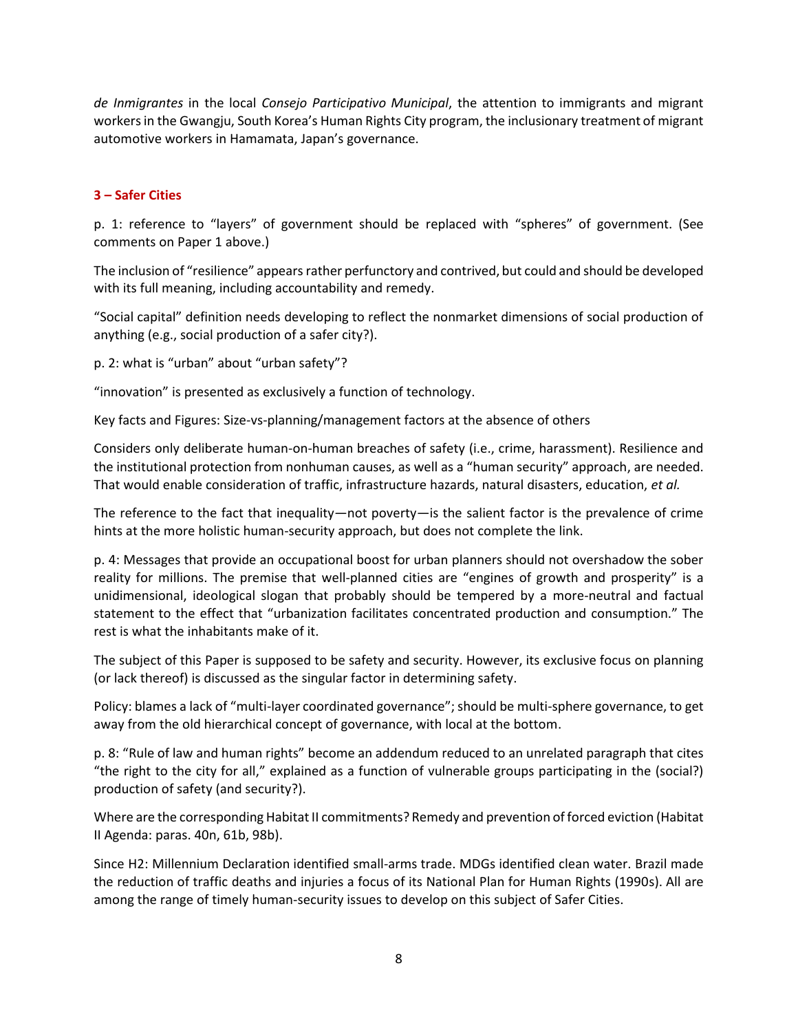*de Inmigrantes* in the local *Consejo Participativo Municipal*, the attention to immigrants and migrant workers in the Gwangju, South Korea's Human Rights City program, the inclusionary treatment of migrant automotive workers in Hamamata, Japan's governance.

## **3 – Safer Cities**

p. 1: reference to "layers" of government should be replaced with "spheres" of government. (See comments on Paper 1 above.)

The inclusion of "resilience" appears rather perfunctory and contrived, but could and should be developed with its full meaning, including accountability and remedy.

"Social capital" definition needs developing to reflect the nonmarket dimensions of social production of anything (e.g., social production of a safer city?).

p. 2: what is "urban" about "urban safety"?

"innovation" is presented as exclusively a function of technology.

Key facts and Figures: Size-vs-planning/management factors at the absence of others

Considers only deliberate human-on-human breaches of safety (i.e., crime, harassment). Resilience and the institutional protection from nonhuman causes, as well as a "human security" approach, are needed. That would enable consideration of traffic, infrastructure hazards, natural disasters, education, *et al.*

The reference to the fact that inequality—not poverty—is the salient factor is the prevalence of crime hints at the more holistic human-security approach, but does not complete the link.

p. 4: Messages that provide an occupational boost for urban planners should not overshadow the sober reality for millions. The premise that well-planned cities are "engines of growth and prosperity" is a unidimensional, ideological slogan that probably should be tempered by a more-neutral and factual statement to the effect that "urbanization facilitates concentrated production and consumption." The rest is what the inhabitants make of it.

The subject of this Paper is supposed to be safety and security. However, its exclusive focus on planning (or lack thereof) is discussed as the singular factor in determining safety.

Policy: blames a lack of "multi-layer coordinated governance"; should be multi-sphere governance, to get away from the old hierarchical concept of governance, with local at the bottom.

p. 8: "Rule of law and human rights" become an addendum reduced to an unrelated paragraph that cites "the right to the city for all," explained as a function of vulnerable groups participating in the (social?) production of safety (and security?).

Where are the corresponding Habitat II commitments? Remedy and prevention of forced eviction (Habitat II Agenda: paras. 40n, 61b, 98b).

Since H2: Millennium Declaration identified small-arms trade. MDGs identified clean water. Brazil made the reduction of traffic deaths and injuries a focus of its National Plan for Human Rights (1990s). All are among the range of timely human-security issues to develop on this subject of Safer Cities.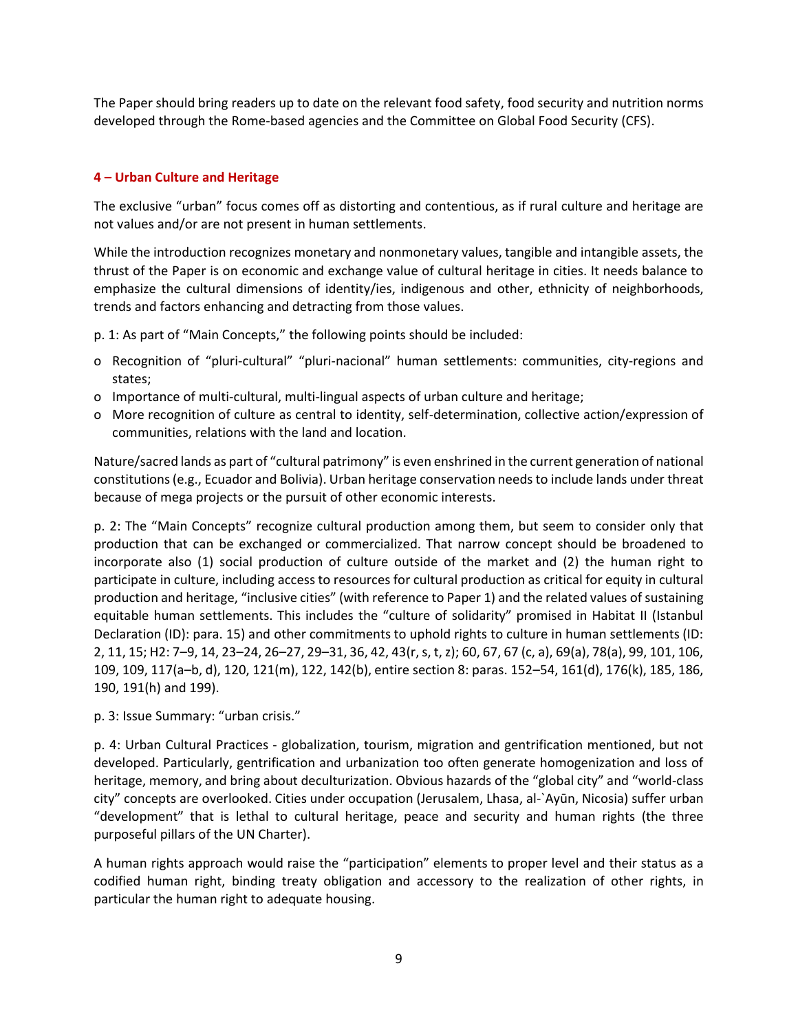The Paper should bring readers up to date on the relevant food safety, food security and nutrition norms developed through the Rome-based agencies and the Committee on Global Food Security (CFS).

## **4 – Urban Culture and Heritage**

The exclusive "urban" focus comes off as distorting and contentious, as if rural culture and heritage are not values and/or are not present in human settlements.

While the introduction recognizes monetary and nonmonetary values, tangible and intangible assets, the thrust of the Paper is on economic and exchange value of cultural heritage in cities. It needs balance to emphasize the cultural dimensions of identity/ies, indigenous and other, ethnicity of neighborhoods, trends and factors enhancing and detracting from those values.

- p. 1: As part of "Main Concepts," the following points should be included:
- o Recognition of "pluri-cultural" "pluri-nacional" human settlements: communities, city-regions and states;
- o Importance of multi-cultural, multi-lingual aspects of urban culture and heritage;
- o More recognition of culture as central to identity, self-determination, collective action/expression of communities, relations with the land and location.

Nature/sacred lands as part of "cultural patrimony" is even enshrined in the current generation of national constitutions (e.g., Ecuador and Bolivia). Urban heritage conservation needs to include lands under threat because of mega projects or the pursuit of other economic interests.

p. 2: The "Main Concepts" recognize cultural production among them, but seem to consider only that production that can be exchanged or commercialized. That narrow concept should be broadened to incorporate also (1) social production of culture outside of the market and (2) the human right to participate in culture, including access to resources for cultural production as critical for equity in cultural production and heritage, "inclusive cities" (with reference to Paper 1) and the related values of sustaining equitable human settlements. This includes the "culture of solidarity" promised in Habitat II (Istanbul Declaration (ID): para. 15) and other commitments to uphold rights to culture in human settlements (ID: 2, 11, 15; H2: 7–9, 14, 23–24, 26–27, 29–31, 36, 42, 43(r, s, t, z); 60, 67, 67 (c, a), 69(a), 78(a), 99, 101, 106, 109, 109, 117(a–b, d), 120, 121(m), 122, 142(b), entire section 8: paras. 152–54, 161(d), 176(k), 185, 186, 190, 191(h) and 199).

p. 3: Issue Summary: "urban crisis."

p. 4: Urban Cultural Practices - globalization, tourism, migration and gentrification mentioned, but not developed. Particularly, gentrification and urbanization too often generate homogenization and loss of heritage, memory, and bring about deculturization. Obvious hazards of the "global city" and "world-class city" concepts are overlooked. Cities under occupation (Jerusalem, Lhasa, al-`Ayūn, Nicosia) suffer urban "development" that is lethal to cultural heritage, peace and security and human rights (the three purposeful pillars of the UN Charter).

A human rights approach would raise the "participation" elements to proper level and their status as a codified human right, binding treaty obligation and accessory to the realization of other rights, in particular the human right to adequate housing.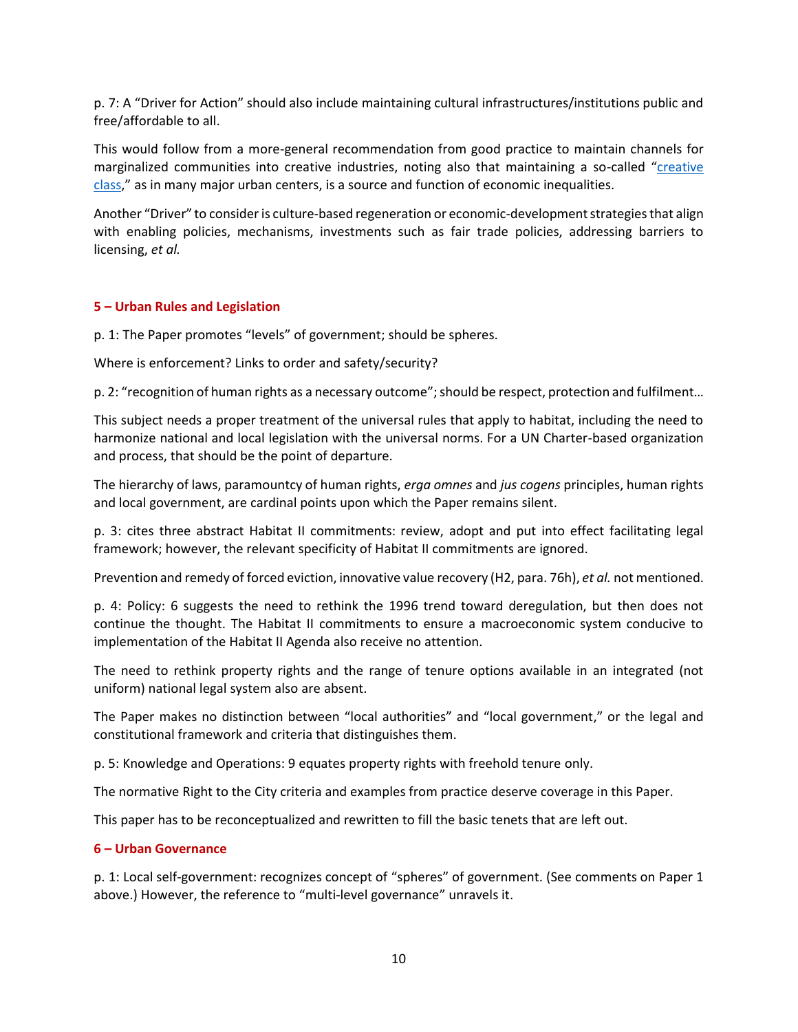p. 7: A "Driver for Action" should also include maintaining cultural infrastructures/institutions public and free/affordable to all.

This would follow from a more-general recommendation from good practice to maintain channels for marginalized communities into creative industries, noting also that maintaining a so-called "[creative](https://en.wikipedia.org/wiki/Creative_class)  [class,](https://en.wikipedia.org/wiki/Creative_class)" as in many major urban centers, is a source and function of economic inequalities.

Another "Driver" to consider is culture-based regeneration or economic-development strategies that align with enabling policies, mechanisms, investments such as fair trade policies, addressing barriers to licensing, *et al.*

#### **5 – Urban Rules and Legislation**

p. 1: The Paper promotes "levels" of government; should be spheres.

Where is enforcement? Links to order and safety/security?

p. 2: "recognition of human rights as a necessary outcome"; should be respect, protection and fulfilment…

This subject needs a proper treatment of the universal rules that apply to habitat, including the need to harmonize national and local legislation with the universal norms. For a UN Charter-based organization and process, that should be the point of departure.

The hierarchy of laws, paramountcy of human rights, *erga omnes* and *jus cogens* principles, human rights and local government, are cardinal points upon which the Paper remains silent.

p. 3: cites three abstract Habitat II commitments: review, adopt and put into effect facilitating legal framework; however, the relevant specificity of Habitat II commitments are ignored.

Prevention and remedy of forced eviction, innovative value recovery (H2, para. 76h), *et al.* not mentioned.

p. 4: Policy: 6 suggests the need to rethink the 1996 trend toward deregulation, but then does not continue the thought. The Habitat II commitments to ensure a macroeconomic system conducive to implementation of the Habitat II Agenda also receive no attention.

The need to rethink property rights and the range of tenure options available in an integrated (not uniform) national legal system also are absent.

The Paper makes no distinction between "local authorities" and "local government," or the legal and constitutional framework and criteria that distinguishes them.

p. 5: Knowledge and Operations: 9 equates property rights with freehold tenure only.

The normative Right to the City criteria and examples from practice deserve coverage in this Paper.

This paper has to be reconceptualized and rewritten to fill the basic tenets that are left out.

#### **6 – Urban Governance**

p. 1: Local self-government: recognizes concept of "spheres" of government. (See comments on Paper 1 above.) However, the reference to "multi-level governance" unravels it.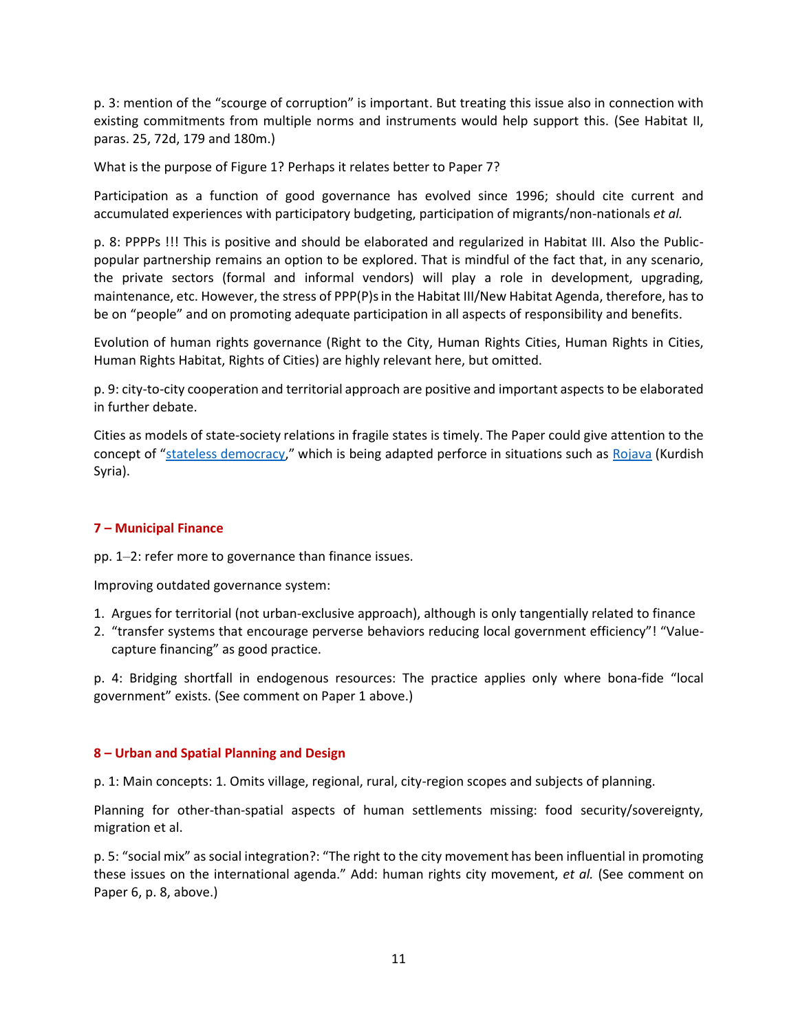p. 3: mention of the "scourge of corruption" is important. But treating this issue also in connection with existing commitments from multiple norms and instruments would help support this. (See Habitat II, paras. 25, 72d, 179 and 180m.)

What is the purpose of Figure 1? Perhaps it relates better to Paper 7?

Participation as a function of good governance has evolved since 1996; should cite current and accumulated experiences with participatory budgeting, participation of migrants/non-nationals *et al.*

p. 8: PPPPs !!! This is positive and should be elaborated and regularized in Habitat III. Also the Publicpopular partnership remains an option to be explored. That is mindful of the fact that, in any scenario, the private sectors (formal and informal vendors) will play a role in development, upgrading, maintenance, etc. However, the stress of PPP(P)s in the Habitat III/New Habitat Agenda, therefore, has to be on "people" and on promoting adequate participation in all aspects of responsibility and benefits.

Evolution of human rights governance (Right to the City, Human Rights Cities, Human Rights in Cities, Human Rights Habitat, Rights of Cities) are highly relevant here, but omitted.

p. 9: city-to-city cooperation and territorial approach are positive and important aspects to be elaborated in further debate.

Cities as models of state-society relations in fragile states is timely. The Paper could give attention to the concept of "[stateless democracy](http://www.bakonline.org/en/Program/NewWorldAcademySession5/NWA5ReaderLaunch?parent=Program%2FArchive)," which is being adapted perforce in situations such as [Rojava](http://www.e-flux.com/journal/to-make-a-world-part-iii-stateless-democracy/) (Kurdish Syria).

# **7 – Municipal Finance**

pp. 1–2: refer more to governance than finance issues.

Improving outdated governance system:

- 1. Argues for territorial (not urban-exclusive approach), although is only tangentially related to finance
- 2. "transfer systems that encourage perverse behaviors reducing local government efficiency"! "Valuecapture financing" as good practice.

p. 4: Bridging shortfall in endogenous resources: The practice applies only where bona-fide "local government" exists. (See comment on Paper 1 above.)

#### **8 – Urban and Spatial Planning and Design**

p. 1: Main concepts: 1. Omits village, regional, rural, city-region scopes and subjects of planning.

Planning for other-than-spatial aspects of human settlements missing: food security/sovereignty, migration et al.

p. 5: "social mix" as social integration?: "The right to the city movement has been influential in promoting these issues on the international agenda." Add: human rights city movement, *et al.* (See comment on Paper 6, p. 8, above.)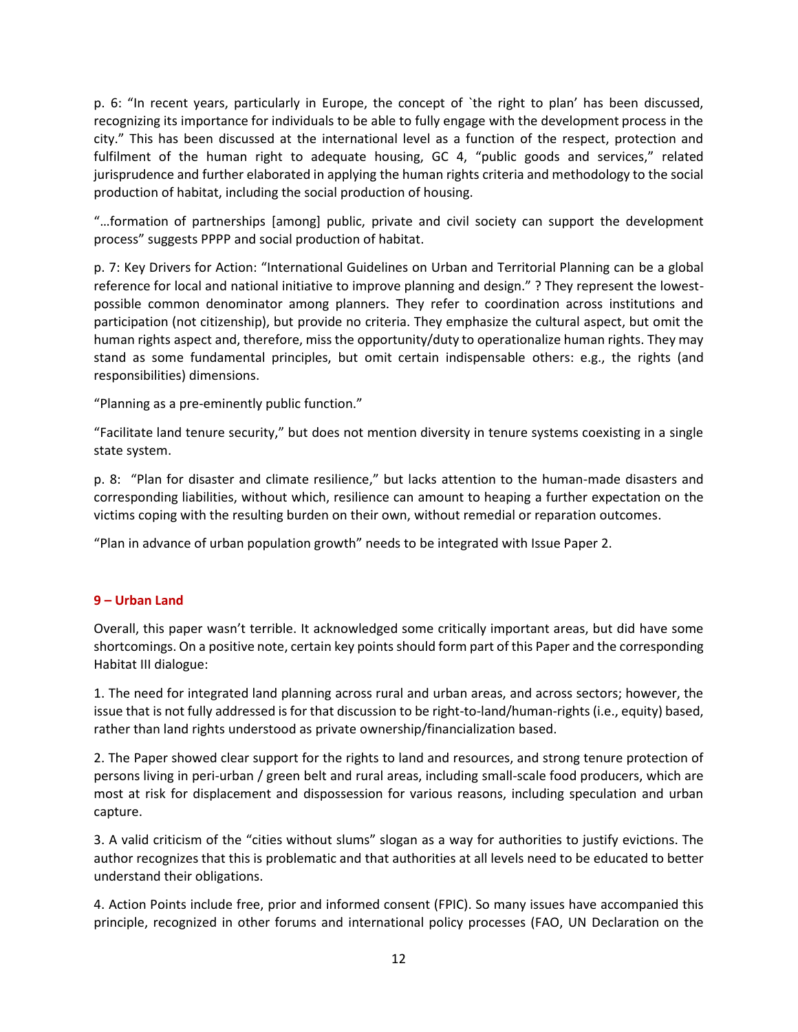p. 6: "In recent years, particularly in Europe, the concept of `the right to plan' has been discussed, recognizing its importance for individuals to be able to fully engage with the development process in the city." This has been discussed at the international level as a function of the respect, protection and fulfilment of the human right to adequate housing, GC 4, "public goods and services," related jurisprudence and further elaborated in applying the human rights criteria and methodology to the social production of habitat, including the social production of housing.

"…formation of partnerships [among] public, private and civil society can support the development process" suggests PPPP and social production of habitat.

p. 7: Key Drivers for Action: "International Guidelines on Urban and Territorial Planning can be a global reference for local and national initiative to improve planning and design." ? They represent the lowestpossible common denominator among planners. They refer to coordination across institutions and participation (not citizenship), but provide no criteria. They emphasize the cultural aspect, but omit the human rights aspect and, therefore, miss the opportunity/duty to operationalize human rights. They may stand as some fundamental principles, but omit certain indispensable others: e.g., the rights (and responsibilities) dimensions.

"Planning as a pre-eminently public function."

"Facilitate land tenure security," but does not mention diversity in tenure systems coexisting in a single state system.

p. 8: "Plan for disaster and climate resilience," but lacks attention to the human-made disasters and corresponding liabilities, without which, resilience can amount to heaping a further expectation on the victims coping with the resulting burden on their own, without remedial or reparation outcomes.

"Plan in advance of urban population growth" needs to be integrated with Issue Paper 2.

#### **9 – Urban Land**

Overall, this paper wasn't terrible. It acknowledged some critically important areas, but did have some shortcomings. On a positive note, certain key points should form part of this Paper and the corresponding Habitat III dialogue:

1. The need for integrated land planning across rural and urban areas, and across sectors; however, the issue that is not fully addressed is for that discussion to be right-to-land/human-rights (i.e., equity) based, rather than land rights understood as private ownership/financialization based.

2. The Paper showed clear support for the rights to land and resources, and strong tenure protection of persons living in peri-urban / green belt and rural areas, including small-scale food producers, which are most at risk for displacement and dispossession for various reasons, including speculation and urban capture.

3. A valid criticism of the "cities without slums" slogan as a way for authorities to justify evictions. The author recognizes that this is problematic and that authorities at all levels need to be educated to better understand their obligations.

4. Action Points include free, prior and informed consent (FPIC). So many issues have accompanied this principle, recognized in other forums and international policy processes (FAO, UN Declaration on the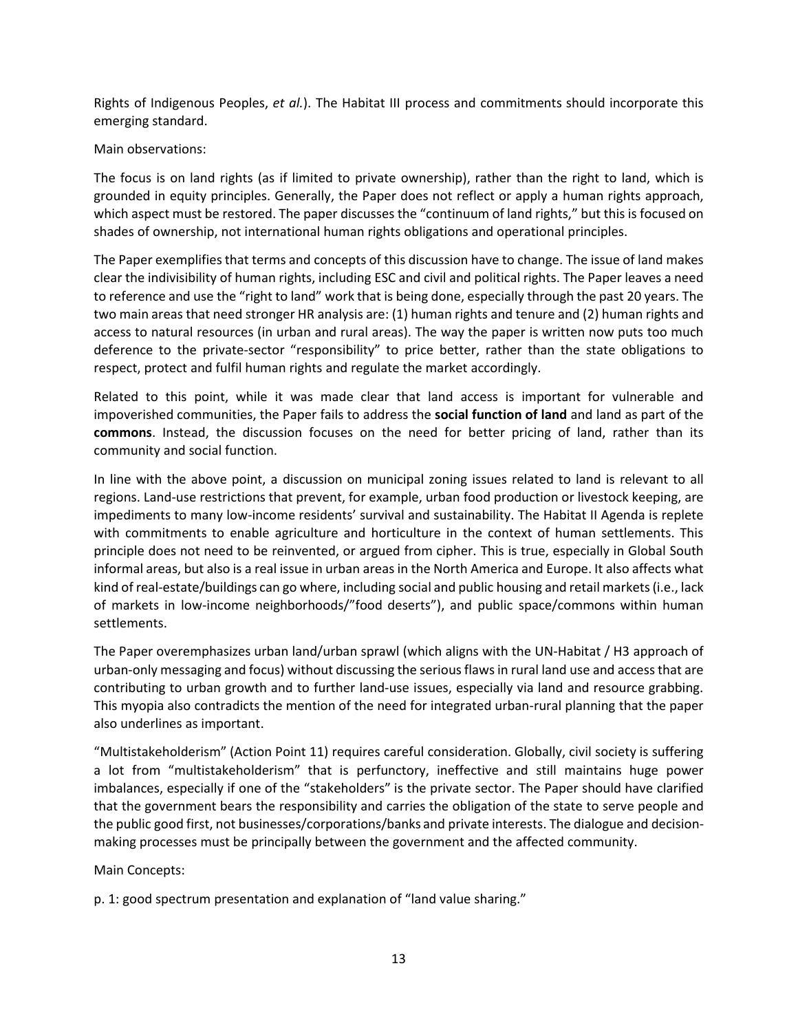Rights of Indigenous Peoples, *et al.*). The Habitat III process and commitments should incorporate this emerging standard.

#### Main observations:

The focus is on land rights (as if limited to private ownership), rather than the right to land, which is grounded in equity principles. Generally, the Paper does not reflect or apply a human rights approach, which aspect must be restored. The paper discusses the "continuum of land rights," but this is focused on shades of ownership, not international human rights obligations and operational principles.

The Paper exemplifies that terms and concepts of this discussion have to change. The issue of land makes clear the indivisibility of human rights, including ESC and civil and political rights. The Paper leaves a need to reference and use the "right to land" work that is being done, especially through the past 20 years. The two main areas that need stronger HR analysis are: (1) human rights and tenure and (2) human rights and access to natural resources (in urban and rural areas). The way the paper is written now puts too much deference to the private-sector "responsibility" to price better, rather than the state obligations to respect, protect and fulfil human rights and regulate the market accordingly.

Related to this point, while it was made clear that land access is important for vulnerable and impoverished communities, the Paper fails to address the **social function of land** and land as part of the **commons**. Instead, the discussion focuses on the need for better pricing of land, rather than its community and social function.

In line with the above point, a discussion on municipal zoning issues related to land is relevant to all regions. Land-use restrictions that prevent, for example, urban food production or livestock keeping, are impediments to many low-income residents' survival and sustainability. The Habitat II Agenda is replete with commitments to enable agriculture and horticulture in the context of human settlements. This principle does not need to be reinvented, or argued from cipher. This is true, especially in Global South informal areas, but also is a real issue in urban areas in the North America and Europe. It also affects what kind of real-estate/buildings can go where, including social and public housing and retail markets (i.e., lack of markets in low-income neighborhoods/"food deserts"), and public space/commons within human settlements.

The Paper overemphasizes urban land/urban sprawl (which aligns with the UN-Habitat / H3 approach of urban-only messaging and focus) without discussing the serious flaws in rural land use and access that are contributing to urban growth and to further land-use issues, especially via land and resource grabbing. This myopia also contradicts the mention of the need for integrated urban-rural planning that the paper also underlines as important.

"Multistakeholderism" (Action Point 11) requires careful consideration. Globally, civil society is suffering a lot from "multistakeholderism" that is perfunctory, ineffective and still maintains huge power imbalances, especially if one of the "stakeholders" is the private sector. The Paper should have clarified that the government bears the responsibility and carries the obligation of the state to serve people and the public good first, not businesses/corporations/banks and private interests. The dialogue and decisionmaking processes must be principally between the government and the affected community.

Main Concepts:

p. 1: good spectrum presentation and explanation of "land value sharing."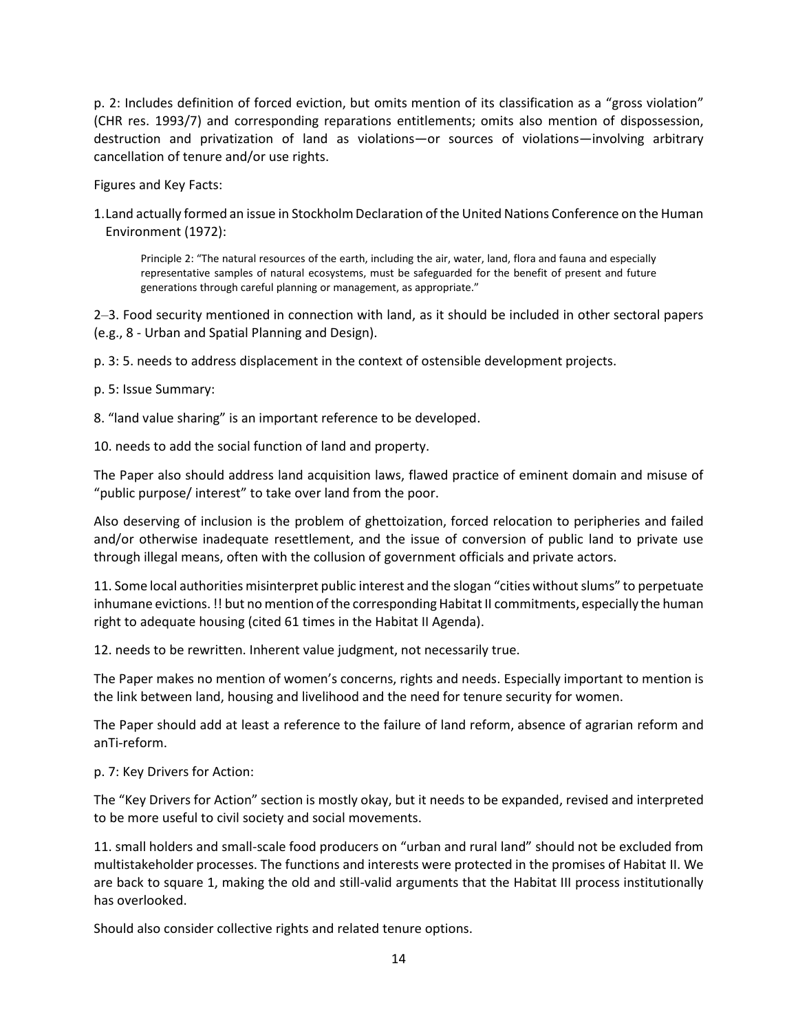p. 2: Includes definition of forced eviction, but omits mention of its classification as a "gross violation" (CHR res. 1993/7) and corresponding reparations entitlements; omits also mention of dispossession, destruction and privatization of land as violations—or sources of violations—involving arbitrary cancellation of tenure and/or use rights.

Figures and Key Facts:

1.Land actually formed an issue in Stockholm Declaration of the United Nations Conference on the Human Environment (1972):

Principle 2: "The natural resources of the earth, including the air, water, land, flora and fauna and especially representative samples of natural ecosystems, must be safeguarded for the benefit of present and future generations through careful planning or management, as appropriate."

2–3. Food security mentioned in connection with land, as it should be included in other sectoral papers (e.g., 8 - Urban and Spatial Planning and Design).

p. 3: 5. needs to address displacement in the context of ostensible development projects.

p. 5: Issue Summary:

8. "land value sharing" is an important reference to be developed.

10. needs to add the social function of land and property.

The Paper also should address land acquisition laws, flawed practice of eminent domain and misuse of "public purpose/ interest" to take over land from the poor.

Also deserving of inclusion is the problem of ghettoization, forced relocation to peripheries and failed and/or otherwise inadequate resettlement, and the issue of conversion of public land to private use through illegal means, often with the collusion of government officials and private actors.

11. Some local authorities misinterpret public interest and the slogan "cities without slums" to perpetuate inhumane evictions. !! but no mention of the corresponding Habitat II commitments, especially the human right to adequate housing (cited 61 times in the Habitat II Agenda).

12. needs to be rewritten. Inherent value judgment, not necessarily true.

The Paper makes no mention of women's concerns, rights and needs. Especially important to mention is the link between land, housing and livelihood and the need for tenure security for women.

The Paper should add at least a reference to the failure of land reform, absence of agrarian reform and anTi-reform.

#### p. 7: Key Drivers for Action:

The "Key Drivers for Action" section is mostly okay, but it needs to be expanded, revised and interpreted to be more useful to civil society and social movements.

11. small holders and small-scale food producers on "urban and rural land" should not be excluded from multistakeholder processes. The functions and interests were protected in the promises of Habitat II. We are back to square 1, making the old and still-valid arguments that the Habitat III process institutionally has overlooked.

Should also consider collective rights and related tenure options.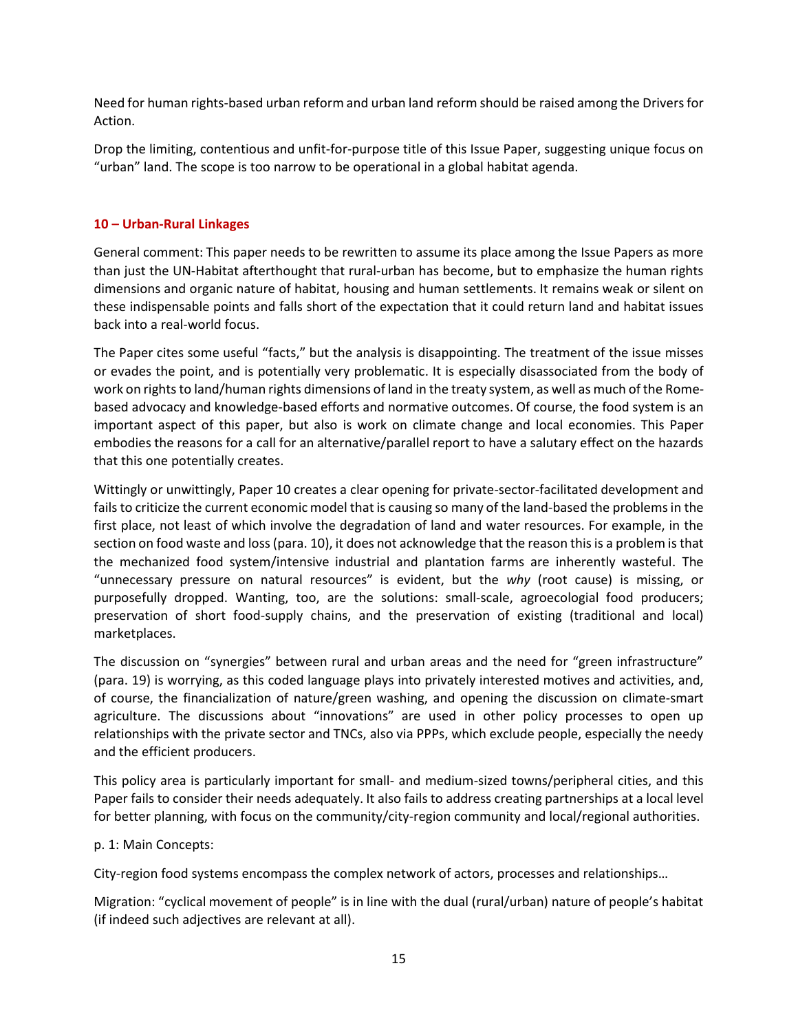Need for human rights-based urban reform and urban land reform should be raised among the Drivers for Action.

Drop the limiting, contentious and unfit-for-purpose title of this Issue Paper, suggesting unique focus on "urban" land. The scope is too narrow to be operational in a global habitat agenda.

#### **10 – Urban-Rural Linkages**

General comment: This paper needs to be rewritten to assume its place among the Issue Papers as more than just the UN-Habitat afterthought that rural-urban has become, but to emphasize the human rights dimensions and organic nature of habitat, housing and human settlements. It remains weak or silent on these indispensable points and falls short of the expectation that it could return land and habitat issues back into a real-world focus.

The Paper cites some useful "facts," but the analysis is disappointing. The treatment of the issue misses or evades the point, and is potentially very problematic. It is especially disassociated from the body of work on rights to land/human rights dimensions of land in the treaty system, as well as much of the Romebased advocacy and knowledge-based efforts and normative outcomes. Of course, the food system is an important aspect of this paper, but also is work on climate change and local economies. This Paper embodies the reasons for a call for an alternative/parallel report to have a salutary effect on the hazards that this one potentially creates.

Wittingly or unwittingly, Paper 10 creates a clear opening for private-sector-facilitated development and fails to criticize the current economic model that is causing so many of the land-based the problems in the first place, not least of which involve the degradation of land and water resources. For example, in the section on food waste and loss (para. 10), it does not acknowledge that the reason this is a problem is that the mechanized food system/intensive industrial and plantation farms are inherently wasteful. The "unnecessary pressure on natural resources" is evident, but the *why* (root cause) is missing, or purposefully dropped. Wanting, too, are the solutions: small-scale, agroecologial food producers; preservation of short food-supply chains, and the preservation of existing (traditional and local) marketplaces.

The discussion on "synergies" between rural and urban areas and the need for "green infrastructure" (para. 19) is worrying, as this coded language plays into privately interested motives and activities, and, of course, the financialization of nature/green washing, and opening the discussion on climate-smart agriculture. The discussions about "innovations" are used in other policy processes to open up relationships with the private sector and TNCs, also via PPPs, which exclude people, especially the needy and the efficient producers.

This policy area is particularly important for small- and medium-sized towns/peripheral cities, and this Paper fails to consider their needs adequately. It also fails to address creating partnerships at a local level for better planning, with focus on the community/city-region community and local/regional authorities.

#### p. 1: Main Concepts:

City-region food systems encompass the complex network of actors, processes and relationships…

Migration: "cyclical movement of people" is in line with the dual (rural/urban) nature of people's habitat (if indeed such adjectives are relevant at all).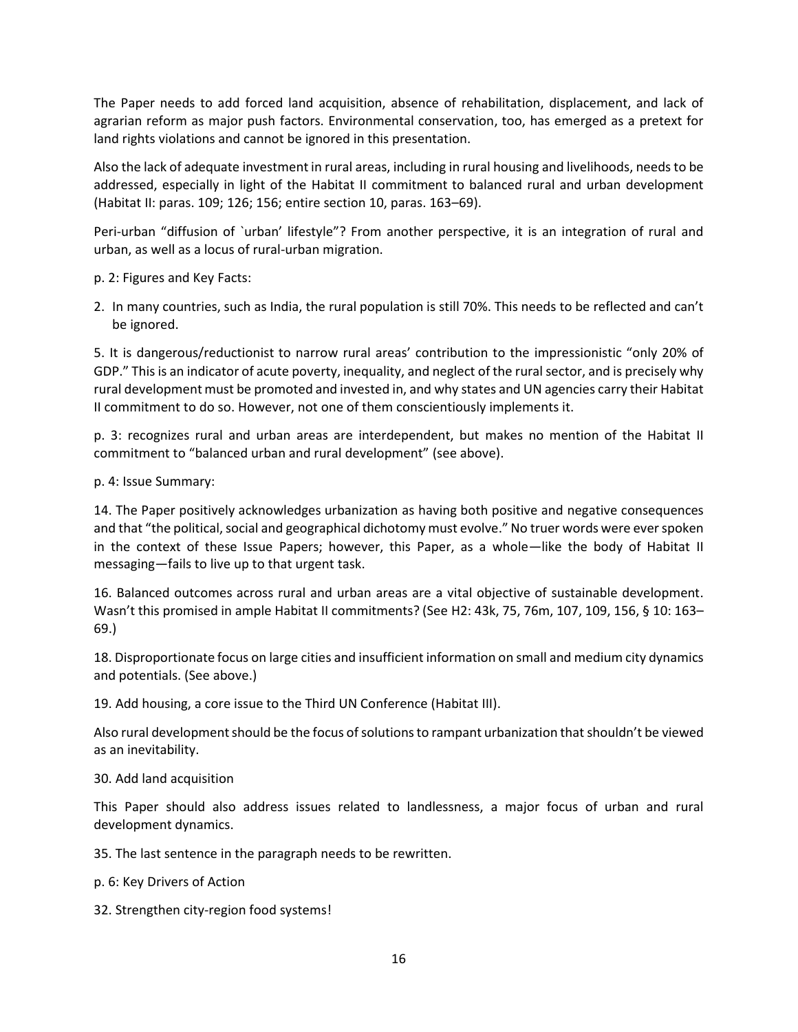The Paper needs to add forced land acquisition, absence of rehabilitation, displacement, and lack of agrarian reform as major push factors. Environmental conservation, too, has emerged as a pretext for land rights violations and cannot be ignored in this presentation.

Also the lack of adequate investment in rural areas, including in rural housing and livelihoods, needs to be addressed, especially in light of the Habitat II commitment to balanced rural and urban development (Habitat II: paras. 109; 126; 156; entire section 10, paras. 163–69).

Peri-urban "diffusion of `urban' lifestyle"? From another perspective, it is an integration of rural and urban, as well as a locus of rural-urban migration.

p. 2: Figures and Key Facts:

2. In many countries, such as India, the rural population is still 70%. This needs to be reflected and can't be ignored.

5. It is dangerous/reductionist to narrow rural areas' contribution to the impressionistic "only 20% of GDP." This is an indicator of acute poverty, inequality, and neglect of the rural sector, and is precisely why rural development must be promoted and invested in, and why states and UN agencies carry their Habitat II commitment to do so. However, not one of them conscientiously implements it.

p. 3: recognizes rural and urban areas are interdependent, but makes no mention of the Habitat II commitment to "balanced urban and rural development" (see above).

p. 4: Issue Summary:

14. The Paper positively acknowledges urbanization as having both positive and negative consequences and that "the political, social and geographical dichotomy must evolve." No truer words were ever spoken in the context of these Issue Papers; however, this Paper, as a whole—like the body of Habitat II messaging—fails to live up to that urgent task.

16. Balanced outcomes across rural and urban areas are a vital objective of sustainable development. Wasn't this promised in ample Habitat II commitments? (See H2: 43k, 75, 76m, 107, 109, 156, § 10: 163– 69.)

18. Disproportionate focus on large cities and insufficient information on small and medium city dynamics and potentials. (See above.)

19. Add housing, a core issue to the Third UN Conference (Habitat III).

Also rural development should be the focus ofsolutionsto rampant urbanization that shouldn't be viewed as an inevitability.

#### 30. Add land acquisition

This Paper should also address issues related to landlessness, a major focus of urban and rural development dynamics.

35. The last sentence in the paragraph needs to be rewritten.

p. 6: Key Drivers of Action

32. Strengthen city-region food systems!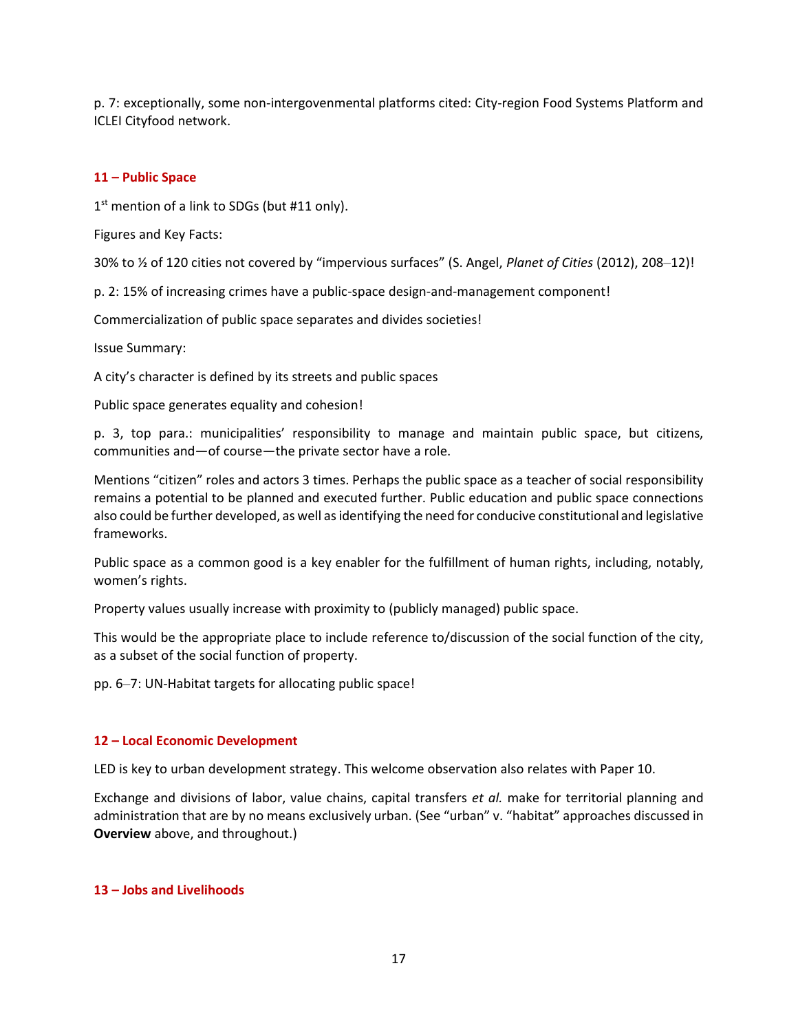p. 7: exceptionally, some non-intergovenmental platforms cited: City-region Food Systems Platform and ICLEI Cityfood network.

## **11 – Public Space**

1<sup>st</sup> mention of a link to SDGs (but #11 only).

Figures and Key Facts:

30% to ½ of 120 cities not covered by "impervious surfaces" (S. Angel, *Planet of Cities* (2012), 208–12)!

p. 2: 15% of increasing crimes have a public-space design-and-management component!

Commercialization of public space separates and divides societies!

Issue Summary:

A city's character is defined by its streets and public spaces

Public space generates equality and cohesion!

p. 3, top para.: municipalities' responsibility to manage and maintain public space, but citizens, communities and—of course—the private sector have a role.

Mentions "citizen" roles and actors 3 times. Perhaps the public space as a teacher of social responsibility remains a potential to be planned and executed further. Public education and public space connections also could be further developed, as well as identifying the need for conducive constitutional and legislative frameworks.

Public space as a common good is a key enabler for the fulfillment of human rights, including, notably, women's rights.

Property values usually increase with proximity to (publicly managed) public space.

This would be the appropriate place to include reference to/discussion of the social function of the city, as a subset of the social function of property.

pp. 6–7: UN-Habitat targets for allocating public space!

#### **12 – Local Economic Development**

LED is key to urban development strategy. This welcome observation also relates with Paper 10.

Exchange and divisions of labor, value chains, capital transfers *et al.* make for territorial planning and administration that are by no means exclusively urban. (See "urban" v. "habitat" approaches discussed in **Overview** above, and throughout.)

#### **13 – Jobs and Livelihoods**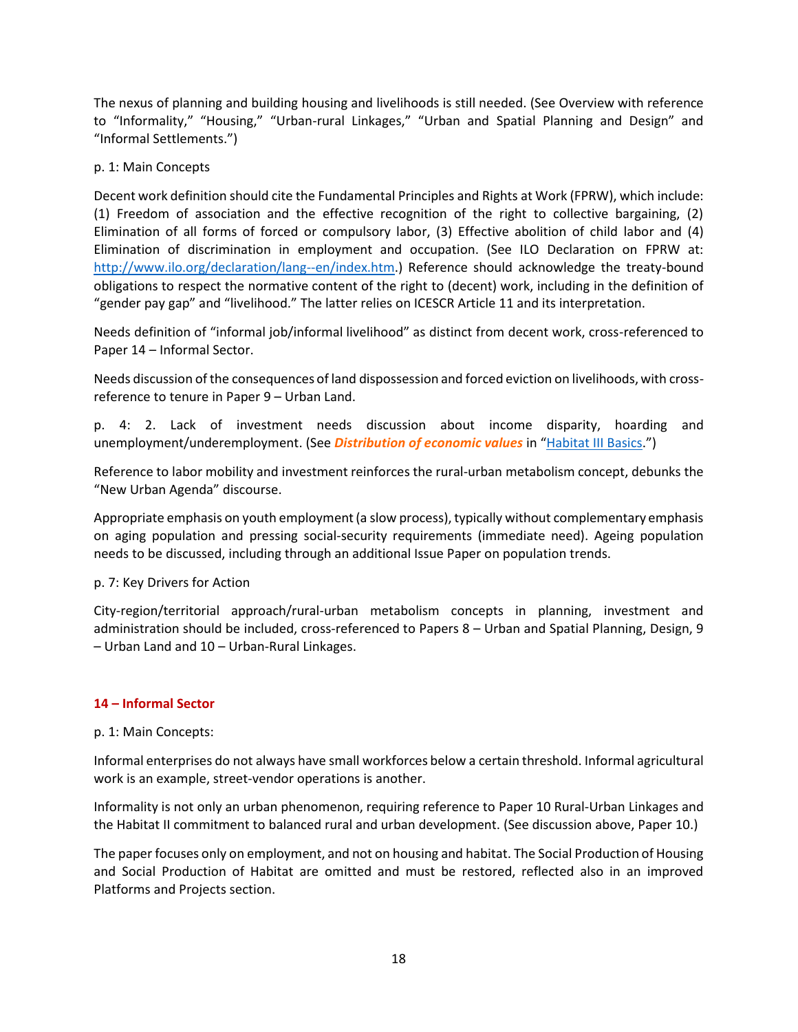The nexus of planning and building housing and livelihoods is still needed. (See Overview with reference to "Informality," "Housing," "Urban-rural Linkages," "Urban and Spatial Planning and Design" and "Informal Settlements.")

## p. 1: Main Concepts

Decent work definition should cite the Fundamental Principles and Rights at Work (FPRW), which include: (1) Freedom of association and the effective recognition of the right to collective bargaining, (2) Elimination of all forms of forced or compulsory labor, (3) Effective abolition of child labor and (4) Elimination of discrimination in employment and occupation. (See ILO Declaration on FPRW at: [http://www.ilo.org/declaration/lang--en/index.htm.](http://www.ilo.org/declaration/lang--en/index.htm)) Reference should acknowledge the treaty-bound obligations to respect the normative content of the right to (decent) work, including in the definition of "gender pay gap" and "livelihood." The latter relies on ICESCR Article 11 and its interpretation.

Needs definition of "informal job/informal livelihood" as distinct from decent work, cross-referenced to Paper 14 – Informal Sector.

Needs discussion of the consequences of land dispossession and forced eviction on livelihoods, with crossreference to tenure in Paper 9 – Urban Land.

p. 4: 2. Lack of investment needs discussion about income disparity, hoarding and unemployment/underemployment. (See *Distribution of economic values* in "[Habitat III Basics](http://www.hlrn.org/img/documents/Habitat_III_BasHICs_brief_final.pdf).")

Reference to labor mobility and investment reinforces the rural-urban metabolism concept, debunks the "New Urban Agenda" discourse.

Appropriate emphasis on youth employment (a slow process), typically without complementary emphasis on aging population and pressing social-security requirements (immediate need). Ageing population needs to be discussed, including through an additional Issue Paper on population trends.

#### p. 7: Key Drivers for Action

City-region/territorial approach/rural-urban metabolism concepts in planning, investment and administration should be included, cross-referenced to Papers 8 – Urban and Spatial Planning, Design, 9 – Urban Land and 10 – Urban-Rural Linkages.

#### **14 – Informal Sector**

#### p. 1: Main Concepts:

Informal enterprises do not always have small workforces below a certain threshold. Informal agricultural work is an example, street-vendor operations is another.

Informality is not only an urban phenomenon, requiring reference to Paper 10 Rural-Urban Linkages and the Habitat II commitment to balanced rural and urban development. (See discussion above, Paper 10.)

The paper focuses only on employment, and not on housing and habitat. The Social Production of Housing and Social Production of Habitat are omitted and must be restored, reflected also in an improved Platforms and Projects section.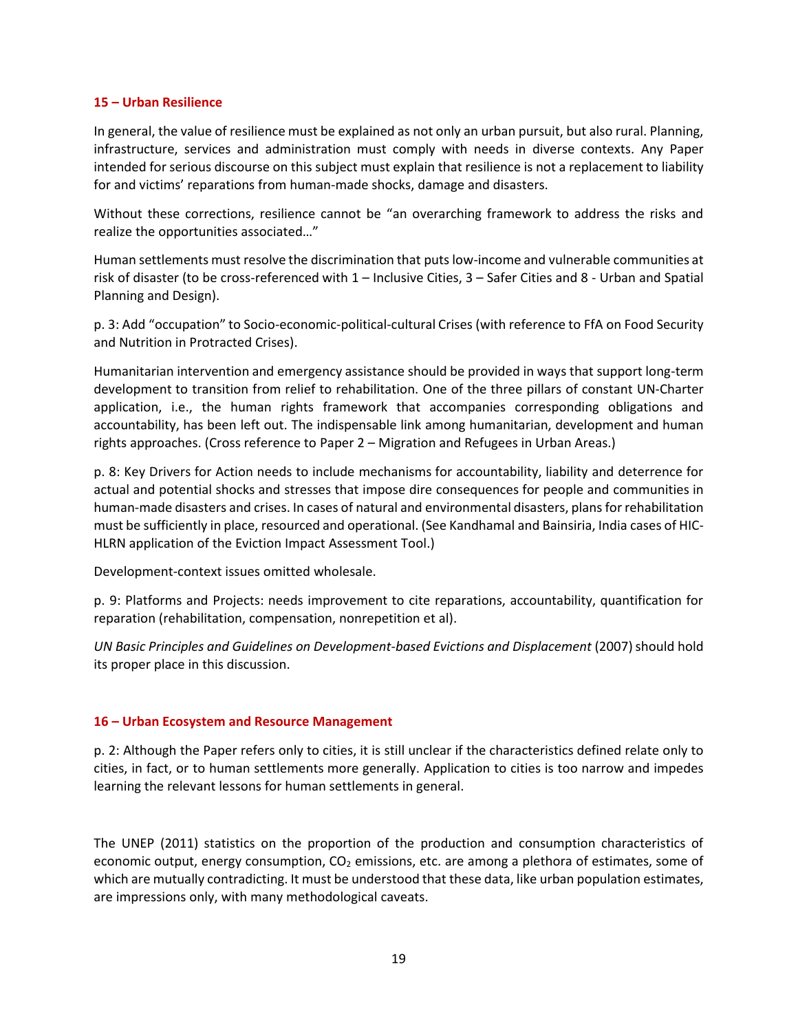#### **15 – Urban Resilience**

In general, the value of resilience must be explained as not only an urban pursuit, but also rural. Planning, infrastructure, services and administration must comply with needs in diverse contexts. Any Paper intended for serious discourse on this subject must explain that resilience is not a replacement to liability for and victims' reparations from human-made shocks, damage and disasters.

Without these corrections, resilience cannot be "an overarching framework to address the risks and realize the opportunities associated…"

Human settlements must resolve the discrimination that puts low-income and vulnerable communities at risk of disaster (to be cross-referenced with 1 – Inclusive Cities, 3 – Safer Cities and 8 - Urban and Spatial Planning and Design).

p. 3: Add "occupation" to Socio-economic-political-cultural Crises (with reference to FfA on Food Security and Nutrition in Protracted Crises).

Humanitarian intervention and emergency assistance should be provided in ways that support long-term development to transition from relief to rehabilitation. One of the three pillars of constant UN-Charter application, i.e., the human rights framework that accompanies corresponding obligations and accountability, has been left out. The indispensable link among humanitarian, development and human rights approaches. (Cross reference to Paper 2 – Migration and Refugees in Urban Areas.)

p. 8: Key Drivers for Action needs to include mechanisms for accountability, liability and deterrence for actual and potential shocks and stresses that impose dire consequences for people and communities in human-made disasters and crises. In cases of natural and environmental disasters, plans for rehabilitation must be sufficiently in place, resourced and operational. (See Kandhamal and Bainsiria, India cases of HIC-HLRN application of the Eviction Impact Assessment Tool.)

Development-context issues omitted wholesale.

p. 9: Platforms and Projects: needs improvement to cite reparations, accountability, quantification for reparation (rehabilitation, compensation, nonrepetition et al).

*UN Basic Principles and Guidelines on Development-based Evictions and Displacement* (2007) should hold its proper place in this discussion.

#### **16 – Urban Ecosystem and Resource Management**

p. 2: Although the Paper refers only to cities, it is still unclear if the characteristics defined relate only to cities, in fact, or to human settlements more generally. Application to cities is too narrow and impedes learning the relevant lessons for human settlements in general.

The UNEP (2011) statistics on the proportion of the production and consumption characteristics of economic output, energy consumption,  $CO<sub>2</sub>$  emissions, etc. are among a plethora of estimates, some of which are mutually contradicting. It must be understood that these data, like urban population estimates, are impressions only, with many methodological caveats.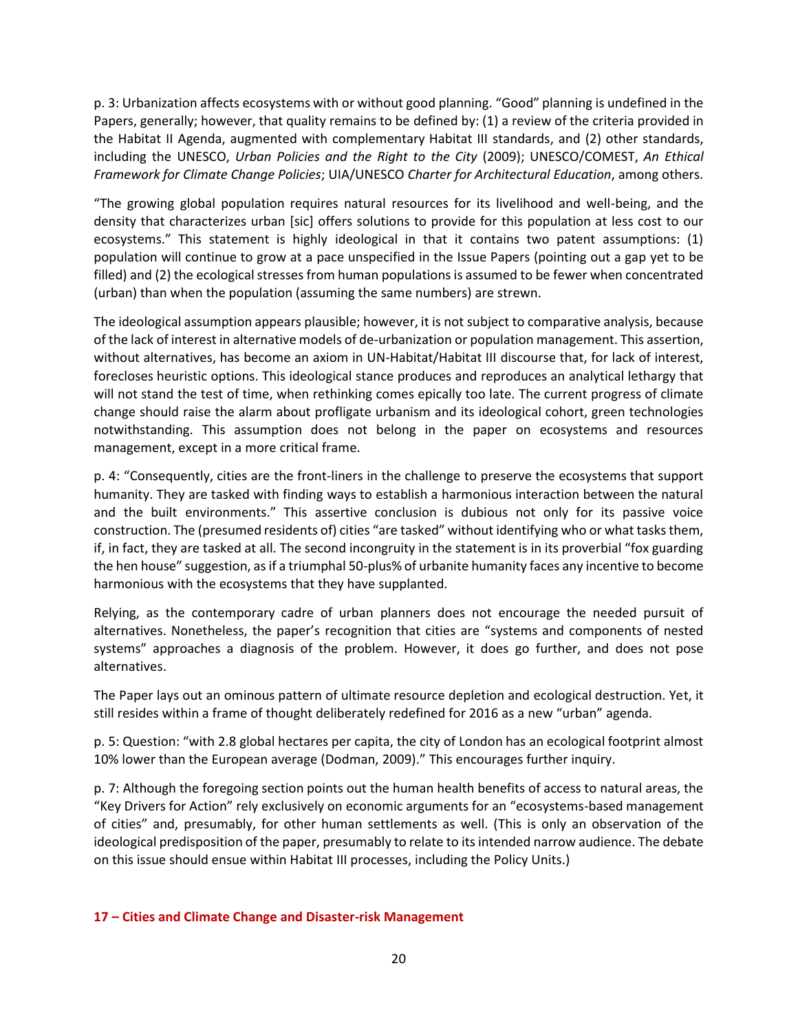p. 3: Urbanization affects ecosystems with or without good planning. "Good" planning is undefined in the Papers, generally; however, that quality remains to be defined by: (1) a review of the criteria provided in the Habitat II Agenda, augmented with complementary Habitat III standards, and (2) other standards, including the UNESCO, *Urban Policies and the Right to the City* (2009); UNESCO/COMEST, *An Ethical Framework for Climate Change Policies*; UIA/UNESCO *Charter for Architectural Education*, among others.

"The growing global population requires natural resources for its livelihood and well-being, and the density that characterizes urban [sic] offers solutions to provide for this population at less cost to our ecosystems." This statement is highly ideological in that it contains two patent assumptions: (1) population will continue to grow at a pace unspecified in the Issue Papers (pointing out a gap yet to be filled) and (2) the ecological stresses from human populations is assumed to be fewer when concentrated (urban) than when the population (assuming the same numbers) are strewn.

The ideological assumption appears plausible; however, it is not subject to comparative analysis, because of the lack of interest in alternative models of de-urbanization or population management. This assertion, without alternatives, has become an axiom in UN-Habitat/Habitat III discourse that, for lack of interest, forecloses heuristic options. This ideological stance produces and reproduces an analytical lethargy that will not stand the test of time, when rethinking comes epically too late. The current progress of climate change should raise the alarm about profligate urbanism and its ideological cohort, green technologies notwithstanding. This assumption does not belong in the paper on ecosystems and resources management, except in a more critical frame.

p. 4: "Consequently, cities are the front-liners in the challenge to preserve the ecosystems that support humanity. They are tasked with finding ways to establish a harmonious interaction between the natural and the built environments." This assertive conclusion is dubious not only for its passive voice construction. The (presumed residents of) cities "are tasked" without identifying who or what tasks them, if, in fact, they are tasked at all. The second incongruity in the statement is in its proverbial "fox guarding the hen house" suggestion, as if a triumphal 50-plus% of urbanite humanity faces any incentive to become harmonious with the ecosystems that they have supplanted.

Relying, as the contemporary cadre of urban planners does not encourage the needed pursuit of alternatives. Nonetheless, the paper's recognition that cities are "systems and components of nested systems" approaches a diagnosis of the problem. However, it does go further, and does not pose alternatives.

The Paper lays out an ominous pattern of ultimate resource depletion and ecological destruction. Yet, it still resides within a frame of thought deliberately redefined for 2016 as a new "urban" agenda.

p. 5: Question: "with 2.8 global hectares per capita, the city of London has an ecological footprint almost 10% lower than the European average (Dodman, 2009)." This encourages further inquiry.

p. 7: Although the foregoing section points out the human health benefits of access to natural areas, the "Key Drivers for Action" rely exclusively on economic arguments for an "ecosystems-based management of cities" and, presumably, for other human settlements as well. (This is only an observation of the ideological predisposition of the paper, presumably to relate to its intended narrow audience. The debate on this issue should ensue within Habitat III processes, including the Policy Units.)

#### **17 – Cities and Climate Change and Disaster-risk Management**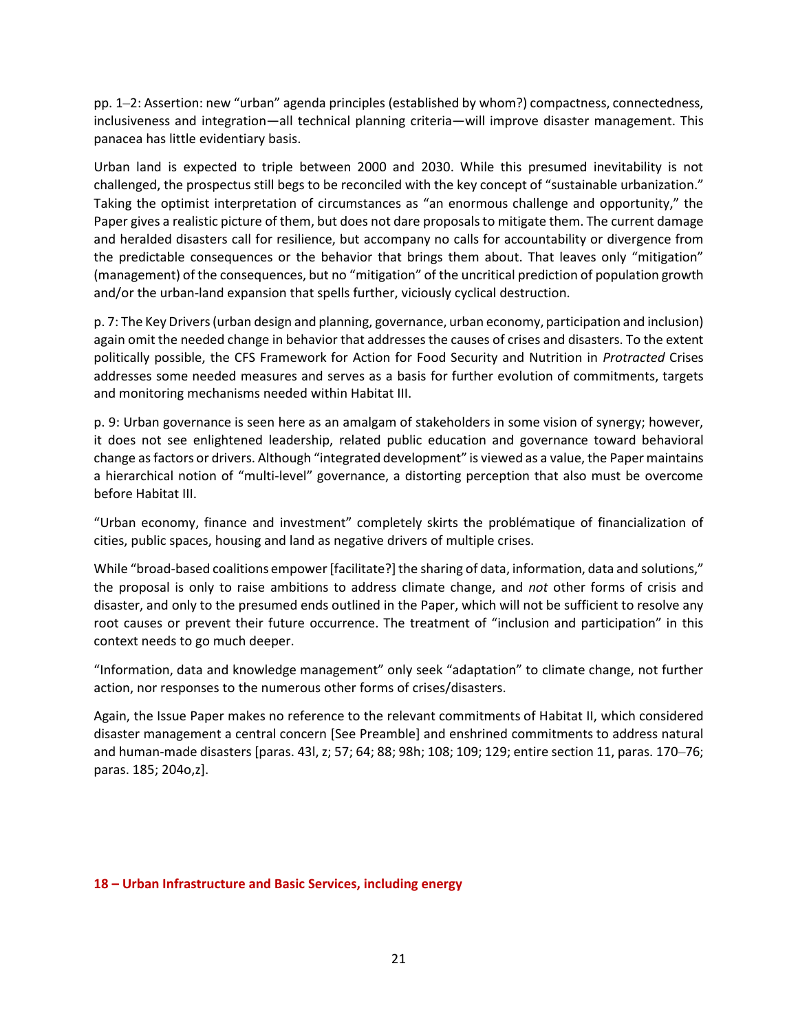pp. 1–2: Assertion: new "urban" agenda principles (established by whom?) compactness, connectedness, inclusiveness and integration—all technical planning criteria—will improve disaster management. This panacea has little evidentiary basis.

Urban land is expected to triple between 2000 and 2030. While this presumed inevitability is not challenged, the prospectus still begs to be reconciled with the key concept of "sustainable urbanization." Taking the optimist interpretation of circumstances as "an enormous challenge and opportunity," the Paper gives a realistic picture of them, but does not dare proposals to mitigate them. The current damage and heralded disasters call for resilience, but accompany no calls for accountability or divergence from the predictable consequences or the behavior that brings them about. That leaves only "mitigation" (management) of the consequences, but no "mitigation" of the uncritical prediction of population growth and/or the urban-land expansion that spells further, viciously cyclical destruction.

p. 7: The Key Drivers (urban design and planning, governance, urban economy, participation and inclusion) again omit the needed change in behavior that addresses the causes of crises and disasters. To the extent politically possible, the CFS Framework for Action for Food Security and Nutrition in *Protracted* Crises addresses some needed measures and serves as a basis for further evolution of commitments, targets and monitoring mechanisms needed within Habitat III.

p. 9: Urban governance is seen here as an amalgam of stakeholders in some vision of synergy; however, it does not see enlightened leadership, related public education and governance toward behavioral change as factors or drivers. Although "integrated development" is viewed as a value, the Paper maintains a hierarchical notion of "multi-level" governance, a distorting perception that also must be overcome before Habitat III.

"Urban economy, finance and investment" completely skirts the problématique of financialization of cities, public spaces, housing and land as negative drivers of multiple crises.

While "broad-based coalitions empower [facilitate?] the sharing of data, information, data and solutions," the proposal is only to raise ambitions to address climate change, and *not* other forms of crisis and disaster, and only to the presumed ends outlined in the Paper, which will not be sufficient to resolve any root causes or prevent their future occurrence. The treatment of "inclusion and participation" in this context needs to go much deeper.

"Information, data and knowledge management" only seek "adaptation" to climate change, not further action, nor responses to the numerous other forms of crises/disasters.

Again, the Issue Paper makes no reference to the relevant commitments of Habitat II, which considered disaster management a central concern [See Preamble] and enshrined commitments to address natural and human-made disasters [paras. 43l, z; 57; 64; 88; 98h; 108; 109; 129; entire section 11, paras. 170–76; paras. 185; 204o,z].

#### **18 – Urban Infrastructure and Basic Services, including energy**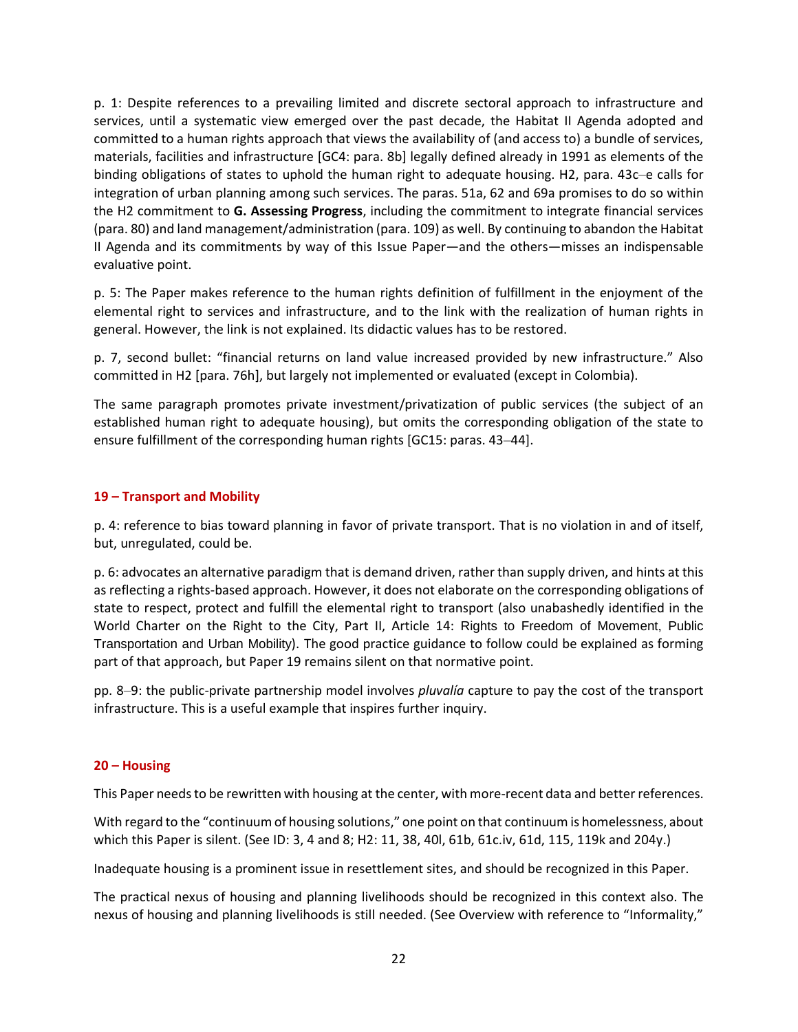p. 1: Despite references to a prevailing limited and discrete sectoral approach to infrastructure and services, until a systematic view emerged over the past decade, the Habitat II Agenda adopted and committed to a human rights approach that views the availability of (and access to) a bundle of services, materials, facilities and infrastructure [GC4: para. 8b] legally defined already in 1991 as elements of the binding obligations of states to uphold the human right to adequate housing. H2, para. 43c–e calls for integration of urban planning among such services. The paras. 51a, 62 and 69a promises to do so within the H2 commitment to **G. Assessing Progress**, including the commitment to integrate financial services (para. 80) and land management/administration (para. 109) as well. By continuing to abandon the Habitat II Agenda and its commitments by way of this Issue Paper—and the others—misses an indispensable evaluative point.

p. 5: The Paper makes reference to the human rights definition of fulfillment in the enjoyment of the elemental right to services and infrastructure, and to the link with the realization of human rights in general. However, the link is not explained. Its didactic values has to be restored.

p. 7, second bullet: "financial returns on land value increased provided by new infrastructure." Also committed in H2 [para. 76h], but largely not implemented or evaluated (except in Colombia).

The same paragraph promotes private investment/privatization of public services (the subject of an established human right to adequate housing), but omits the corresponding obligation of the state to ensure fulfillment of the corresponding human rights [GC15: paras. 43–44].

#### **19 – Transport and Mobility**

p. 4: reference to bias toward planning in favor of private transport. That is no violation in and of itself, but, unregulated, could be.

p. 6: advocates an alternative paradigm that is demand driven, rather than supply driven, and hints at this as reflecting a rights-based approach. However, it does not elaborate on the corresponding obligations of state to respect, protect and fulfill the elemental right to transport (also unabashedly identified in the World Charter on the Right to the City, Part II, Article 14: Rights to Freedom of Movement, Public Transportation and Urban Mobility). The good practice guidance to follow could be explained as forming part of that approach, but Paper 19 remains silent on that normative point.

pp. 8–9: the public-private partnership model involves *pluvalía* capture to pay the cost of the transport infrastructure. This is a useful example that inspires further inquiry.

#### **20 – Housing**

This Paper needs to be rewritten with housing at the center, with more-recent data and better references.

With regard to the "continuum of housing solutions," one point on that continuum is homelessness, about which this Paper is silent. (See ID: 3, 4 and 8; H2: 11, 38, 40l, 61b, 61c.iv, 61d, 115, 119k and 204y.)

Inadequate housing is a prominent issue in resettlement sites, and should be recognized in this Paper.

The practical nexus of housing and planning livelihoods should be recognized in this context also. The nexus of housing and planning livelihoods is still needed. (See Overview with reference to "Informality,"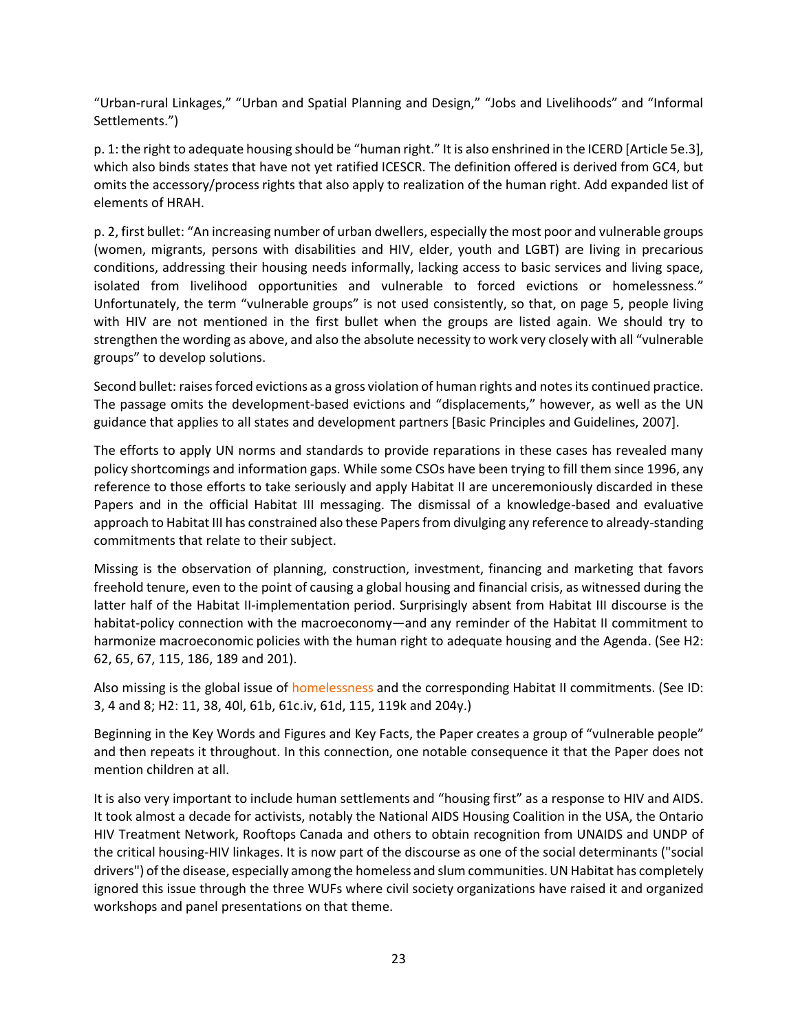"Urban-rural Linkages," "Urban and Spatial Planning and Design," "Jobs and Livelihoods" and "Informal Settlements.")

p. 1: the right to adequate housing should be "human right." It is also enshrined in the ICERD [Article 5e.3], which also binds states that have not yet ratified ICESCR. The definition offered is derived from GC4, but omits the accessory/process rights that also apply to realization of the human right. Add expanded list of elements of HRAH.

p. 2, first bullet: "An increasing number of urban dwellers, especially the most poor and vulnerable groups (women, migrants, persons with disabilities and HIV, elder, youth and LGBT) are living in precarious conditions, addressing their housing needs informally, lacking access to basic services and living space, isolated from livelihood opportunities and vulnerable to forced evictions or homelessness." Unfortunately, the term "vulnerable groups" is not used consistently, so that, on page 5, people living with HIV are not mentioned in the first bullet when the groups are listed again. We should try to strengthen the wording as above, and also the absolute necessity to work very closely with all "vulnerable groups" to develop solutions.

Second bullet: raises forced evictions as a gross violation of human rights and notes its continued practice. The passage omits the development-based evictions and "displacements," however, as well as the UN guidance that applies to all states and development partners [Basic Principles and Guidelines, 2007].

The efforts to apply UN norms and standards to provide reparations in these cases has revealed many policy shortcomings and information gaps. While some CSOs have been trying to fill them since 1996, any reference to those efforts to take seriously and apply Habitat II are unceremoniously discarded in these Papers and in the official Habitat III messaging. The dismissal of a knowledge-based and evaluative approach to Habitat III has constrained also these Papers from divulging any reference to already-standing commitments that relate to their subject.

Missing is the observation of planning, construction, investment, financing and marketing that favors freehold tenure, even to the point of causing a global housing and financial crisis, as witnessed during the latter half of the Habitat II-implementation period. Surprisingly absent from Habitat III discourse is the habitat-policy connection with the macroeconomy—and any reminder of the Habitat II commitment to harmonize macroeconomic policies with the human right to adequate housing and the Agenda. (See H2: 62, 65, 67, 115, 186, 189 and 201).

Also missing is the global issue of homelessness and the corresponding Habitat II commitments. (See ID: 3, 4 and 8; H2: 11, 38, 40l, 61b, 61c.iv, 61d, 115, 119k and 204y.)

Beginning in the Key Words and Figures and Key Facts, the Paper creates a group of "vulnerable people" and then repeats it throughout. In this connection, one notable consequence it that the Paper does not mention children at all.

It is also very important to include human settlements and "housing first" as a response to HIV and AIDS. It took almost a decade for activists, notably the National AIDS Housing Coalition in the USA, the Ontario HIV Treatment Network, Rooftops Canada and others to obtain recognition from UNAIDS and UNDP of the critical housing-HIV linkages. It is now part of the discourse as one of the social determinants ("social drivers") of the disease, especially among the homeless and slum communities. UN Habitat has completely ignored this issue through the three WUFs where civil society organizations have raised it and organized workshops and panel presentations on that theme.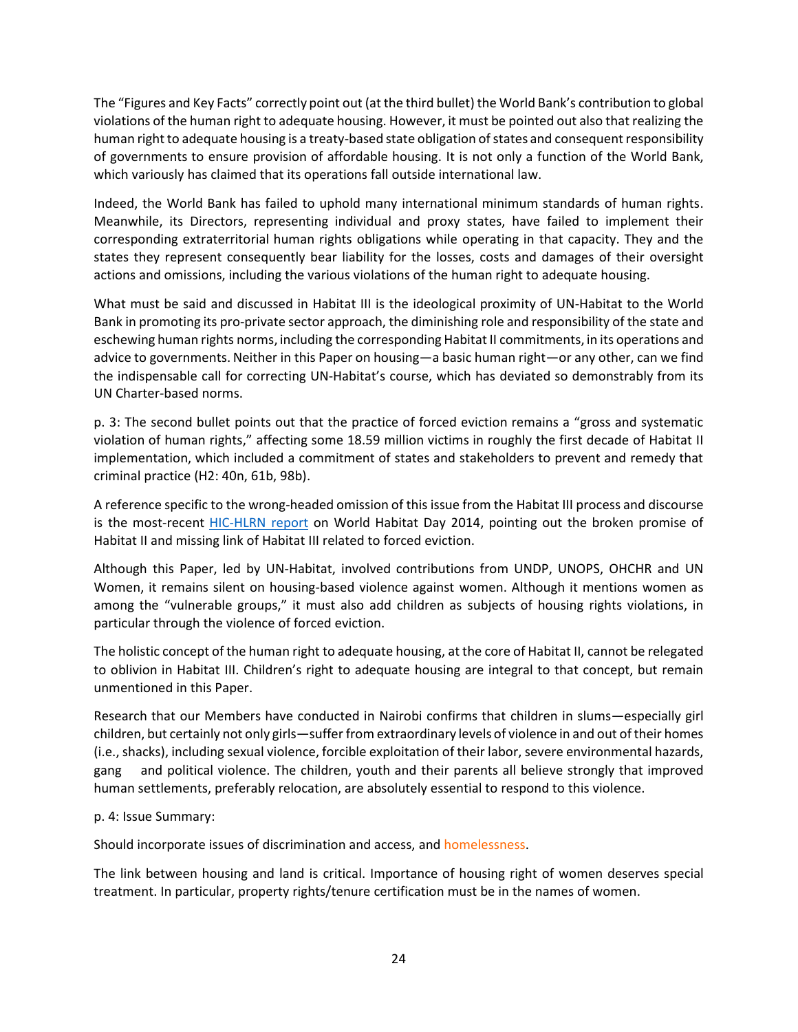The "Figures and Key Facts" correctly point out (at the third bullet) the World Bank's contribution to global violations of the human right to adequate housing. However, it must be pointed out also that realizing the human right to adequate housing is a treaty-based state obligation of states and consequent responsibility of governments to ensure provision of affordable housing. It is not only a function of the World Bank, which variously has claimed that its operations fall outside international law.

Indeed, the World Bank has failed to uphold many international minimum standards of human rights. Meanwhile, its Directors, representing individual and proxy states, have failed to implement their corresponding extraterritorial human rights obligations while operating in that capacity. They and the states they represent consequently bear liability for the losses, costs and damages of their oversight actions and omissions, including the various violations of the human right to adequate housing.

What must be said and discussed in Habitat III is the ideological proximity of UN-Habitat to the World Bank in promoting its pro-private sector approach, the diminishing role and responsibility of the state and eschewing human rights norms, including the corresponding Habitat II commitments, in its operations and advice to governments. Neither in this Paper on housing—a basic human right—or any other, can we find the indispensable call for correcting UN-Habitat's course, which has deviated so demonstrably from its UN Charter-based norms.

p. 3: The second bullet points out that the practice of forced eviction remains a "gross and systematic violation of human rights," affecting some 18.59 million victims in roughly the first decade of Habitat II implementation, which included a commitment of states and stakeholders to prevent and remedy that criminal practice (H2: 40n, 61b, 98b).

A reference specific to the wrong-headed omission of this issue from the Habitat III process and discourse is the most-recent **HIC-HLRN** report on World Habitat Day 2014, pointing out the broken promise of Habitat II and missing link of Habitat III related to forced eviction.

Although this Paper, led by UN-Habitat, involved contributions from UNDP, UNOPS, OHCHR and UN Women, it remains silent on housing-based violence against women. Although it mentions women as among the "vulnerable groups," it must also add children as subjects of housing rights violations, in particular through the violence of forced eviction.

The holistic concept of the human right to adequate housing, at the core of Habitat II, cannot be relegated to oblivion in Habitat III. Children's right to adequate housing are integral to that concept, but remain unmentioned in this Paper.

Research that our Members have conducted in Nairobi confirms that children in slums—especially girl children, but certainly not only girls—suffer from extraordinary levels of violence in and out of their homes (i.e., shacks), including sexual violence, forcible exploitation of their labor, severe environmental hazards, gang and political violence. The children, youth and their parents all believe strongly that improved human settlements, preferably relocation, are absolutely essential to respond to this violence.

#### p. 4: Issue Summary:

Should incorporate issues of discrimination and access, and homelessness.

The link between housing and land is critical. Importance of housing right of women deserves special treatment. In particular, property rights/tenure certification must be in the names of women.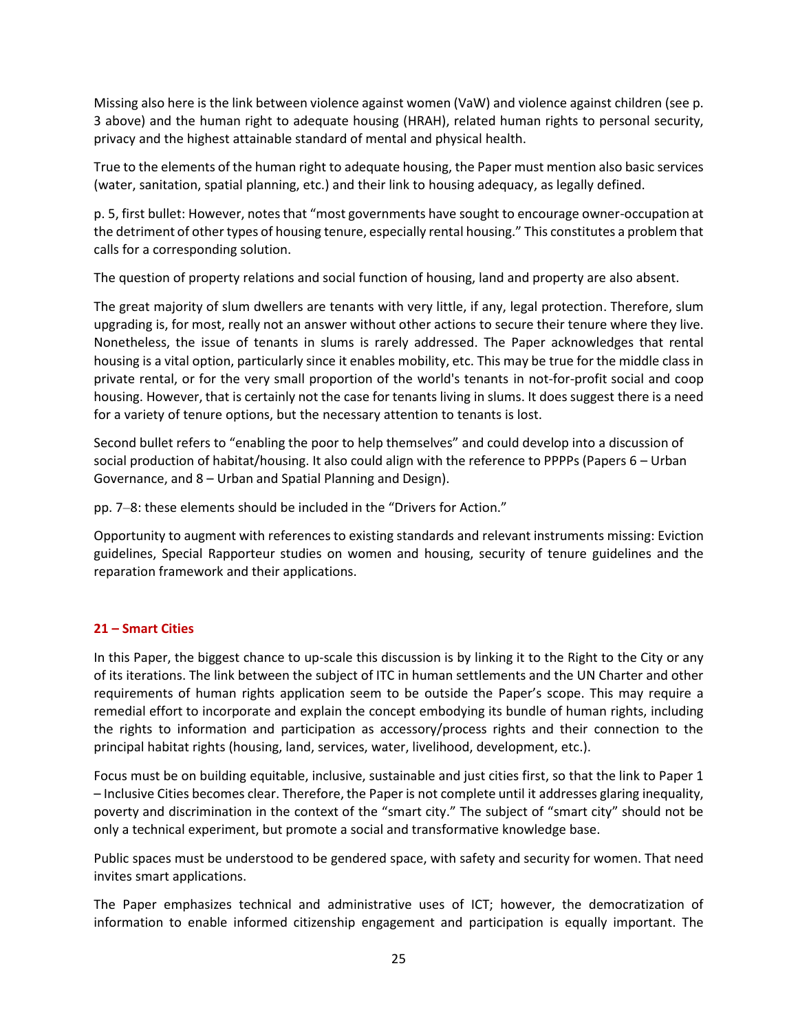Missing also here is the link between violence against women (VaW) and violence against children (see p. 3 above) and the human right to adequate housing (HRAH), related human rights to personal security, privacy and the highest attainable standard of mental and physical health.

True to the elements of the human right to adequate housing, the Paper must mention also basic services (water, sanitation, spatial planning, etc.) and their link to housing adequacy, as legally defined.

p. 5, first bullet: However, notes that "most governments have sought to encourage owner-occupation at the detriment of other types of housing tenure, especially rental housing." This constitutes a problem that calls for a corresponding solution.

The question of property relations and social function of housing, land and property are also absent.

The great majority of slum dwellers are tenants with very little, if any, legal protection. Therefore, slum upgrading is, for most, really not an answer without other actions to secure their tenure where they live. Nonetheless, the issue of tenants in slums is rarely addressed. The Paper acknowledges that rental housing is a vital option, particularly since it enables mobility, etc. This may be true for the middle class in private rental, or for the very small proportion of the world's tenants in not-for-profit social and coop housing. However, that is certainly not the case for tenants living in slums. It does suggest there is a need for a variety of tenure options, but the necessary attention to tenants is lost.

Second bullet refers to "enabling the poor to help themselves" and could develop into a discussion of social production of habitat/housing. It also could align with the reference to PPPPs (Papers 6 – Urban Governance, and 8 – Urban and Spatial Planning and Design).

pp. 7–8: these elements should be included in the "Drivers for Action."

Opportunity to augment with references to existing standards and relevant instruments missing: Eviction guidelines, Special Rapporteur studies on women and housing, security of tenure guidelines and the reparation framework and their applications.

# **21 – Smart Cities**

In this Paper, the biggest chance to up-scale this discussion is by linking it to the Right to the City or any of its iterations. The link between the subject of ITC in human settlements and the UN Charter and other requirements of human rights application seem to be outside the Paper's scope. This may require a remedial effort to incorporate and explain the concept embodying its bundle of human rights, including the rights to information and participation as accessory/process rights and their connection to the principal habitat rights (housing, land, services, water, livelihood, development, etc.).

Focus must be on building equitable, inclusive, sustainable and just cities first, so that the link to Paper 1 – Inclusive Cities becomes clear. Therefore, the Paper is not complete until it addresses glaring inequality, poverty and discrimination in the context of the "smart city." The subject of "smart city" should not be only a technical experiment, but promote a social and transformative knowledge base.

Public spaces must be understood to be gendered space, with safety and security for women. That need invites smart applications.

The Paper emphasizes technical and administrative uses of ICT; however, the democratization of information to enable informed citizenship engagement and participation is equally important. The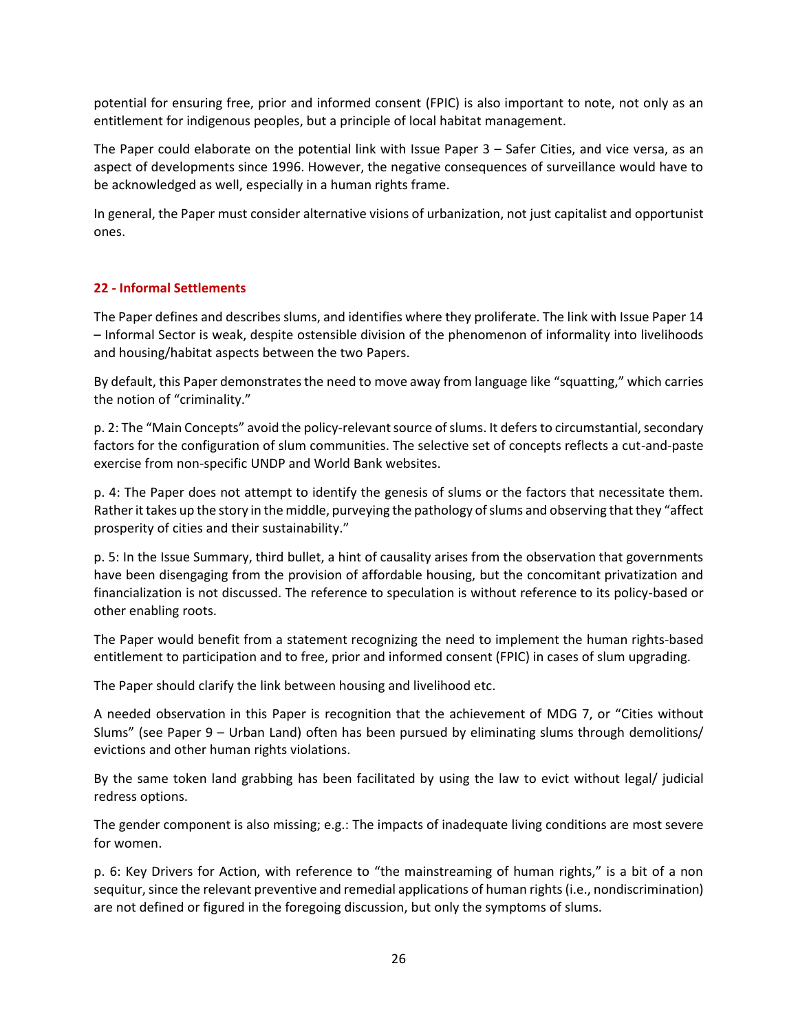potential for ensuring free, prior and informed consent (FPIC) is also important to note, not only as an entitlement for indigenous peoples, but a principle of local habitat management.

The Paper could elaborate on the potential link with Issue Paper 3 – Safer Cities, and vice versa, as an aspect of developments since 1996. However, the negative consequences of surveillance would have to be acknowledged as well, especially in a human rights frame.

In general, the Paper must consider alternative visions of urbanization, not just capitalist and opportunist ones.

## **22 - Informal Settlements**

The Paper defines and describes slums, and identifies where they proliferate. The link with Issue Paper 14 – Informal Sector is weak, despite ostensible division of the phenomenon of informality into livelihoods and housing/habitat aspects between the two Papers.

By default, this Paper demonstrates the need to move away from language like "squatting," which carries the notion of "criminality."

p. 2: The "Main Concepts" avoid the policy-relevant source of slums. It defers to circumstantial, secondary factors for the configuration of slum communities. The selective set of concepts reflects a cut-and-paste exercise from non-specific UNDP and World Bank websites.

p. 4: The Paper does not attempt to identify the genesis of slums or the factors that necessitate them. Rather it takes up the story in the middle, purveying the pathology of slums and observing that they "affect prosperity of cities and their sustainability."

p. 5: In the Issue Summary, third bullet, a hint of causality arises from the observation that governments have been disengaging from the provision of affordable housing, but the concomitant privatization and financialization is not discussed. The reference to speculation is without reference to its policy-based or other enabling roots.

The Paper would benefit from a statement recognizing the need to implement the human rights-based entitlement to participation and to free, prior and informed consent (FPIC) in cases of slum upgrading.

The Paper should clarify the link between housing and livelihood etc.

A needed observation in this Paper is recognition that the achievement of MDG 7, or "Cities without Slums" (see Paper 9 – Urban Land) often has been pursued by eliminating slums through demolitions/ evictions and other human rights violations.

By the same token land grabbing has been facilitated by using the law to evict without legal/ judicial redress options.

The gender component is also missing; e.g.: The impacts of inadequate living conditions are most severe for women.

p. 6: Key Drivers for Action, with reference to "the mainstreaming of human rights," is a bit of a non sequitur, since the relevant preventive and remedial applications of human rights (i.e., nondiscrimination) are not defined or figured in the foregoing discussion, but only the symptoms of slums.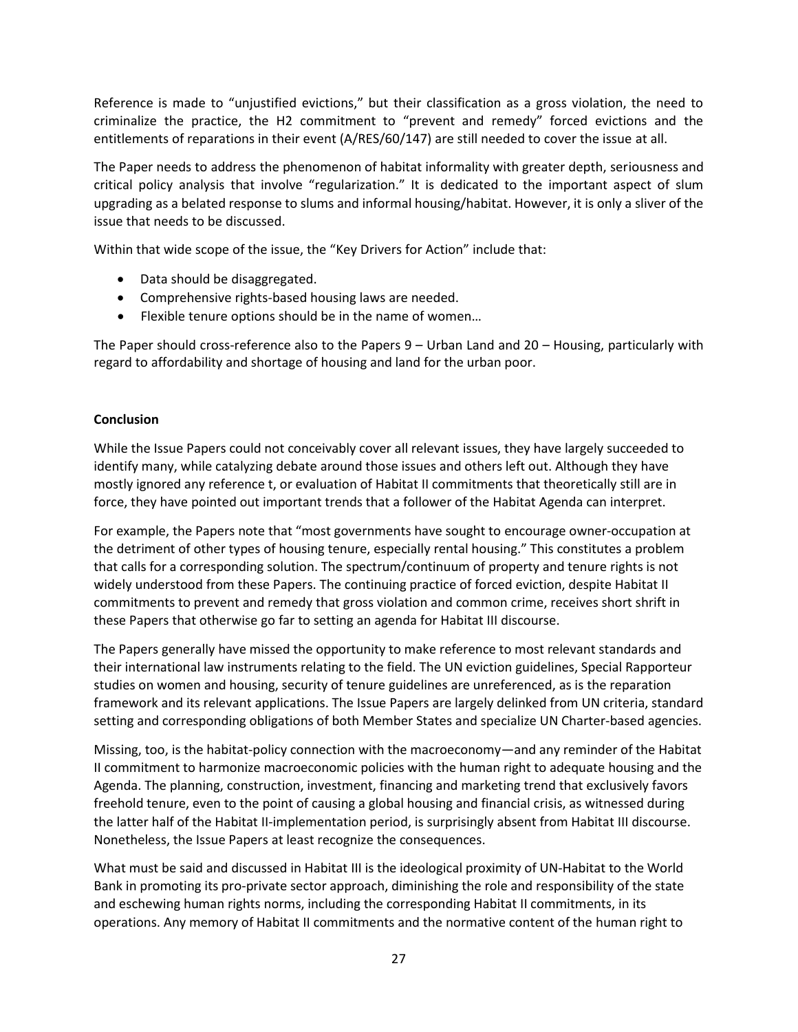Reference is made to "unjustified evictions," but their classification as a gross violation, the need to criminalize the practice, the H2 commitment to "prevent and remedy" forced evictions and the entitlements of reparations in their event (A/RES/60/147) are still needed to cover the issue at all.

The Paper needs to address the phenomenon of habitat informality with greater depth, seriousness and critical policy analysis that involve "regularization." It is dedicated to the important aspect of slum upgrading as a belated response to slums and informal housing/habitat. However, it is only a sliver of the issue that needs to be discussed.

Within that wide scope of the issue, the "Key Drivers for Action" include that:

- Data should be disaggregated.
- Comprehensive rights-based housing laws are needed.
- Flexible tenure options should be in the name of women…

The Paper should cross-reference also to the Papers 9 – Urban Land and 20 – Housing, particularly with regard to affordability and shortage of housing and land for the urban poor.

## **Conclusion**

While the Issue Papers could not conceivably cover all relevant issues, they have largely succeeded to identify many, while catalyzing debate around those issues and others left out. Although they have mostly ignored any reference t, or evaluation of Habitat II commitments that theoretically still are in force, they have pointed out important trends that a follower of the Habitat Agenda can interpret.

For example, the Papers note that "most governments have sought to encourage owner-occupation at the detriment of other types of housing tenure, especially rental housing." This constitutes a problem that calls for a corresponding solution. The spectrum/continuum of property and tenure rights is not widely understood from these Papers. The continuing practice of forced eviction, despite Habitat II commitments to prevent and remedy that gross violation and common crime, receives short shrift in these Papers that otherwise go far to setting an agenda for Habitat III discourse.

The Papers generally have missed the opportunity to make reference to most relevant standards and their international law instruments relating to the field. The UN eviction guidelines, Special Rapporteur studies on women and housing, security of tenure guidelines are unreferenced, as is the reparation framework and its relevant applications. The Issue Papers are largely delinked from UN criteria, standard setting and corresponding obligations of both Member States and specialize UN Charter-based agencies.

Missing, too, is the habitat-policy connection with the macroeconomy—and any reminder of the Habitat II commitment to harmonize macroeconomic policies with the human right to adequate housing and the Agenda. The planning, construction, investment, financing and marketing trend that exclusively favors freehold tenure, even to the point of causing a global housing and financial crisis, as witnessed during the latter half of the Habitat II-implementation period, is surprisingly absent from Habitat III discourse. Nonetheless, the Issue Papers at least recognize the consequences.

What must be said and discussed in Habitat III is the ideological proximity of UN-Habitat to the World Bank in promoting its pro-private sector approach, diminishing the role and responsibility of the state and eschewing human rights norms, including the corresponding Habitat II commitments, in its operations. Any memory of Habitat II commitments and the normative content of the human right to